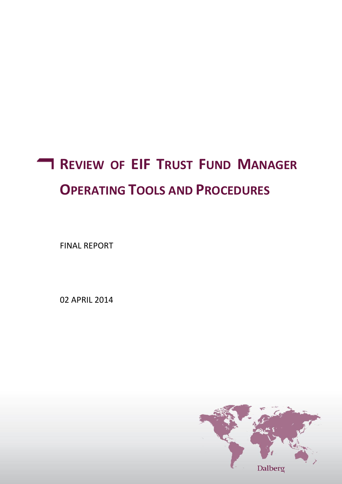# **REVIEW OF EIF TRUST FUND MANAGER OPERATING TOOLS AND PROCEDURES**

FINAL REPORT

02 APRIL 2014

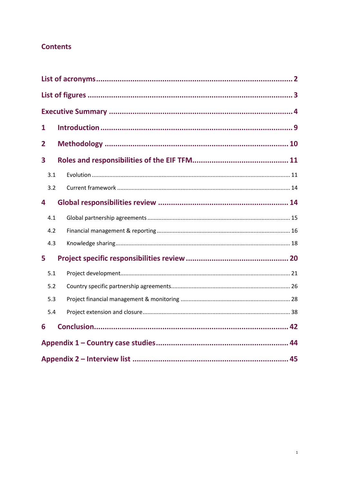## **Contents**

| 1   |  |  |  |  |
|-----|--|--|--|--|
| 2   |  |  |  |  |
| 3   |  |  |  |  |
| 3.1 |  |  |  |  |
| 3.2 |  |  |  |  |
| 4   |  |  |  |  |
| 4.1 |  |  |  |  |
| 4.2 |  |  |  |  |
| 4.3 |  |  |  |  |
| 5   |  |  |  |  |
| 5.1 |  |  |  |  |
| 5.2 |  |  |  |  |
| 5.3 |  |  |  |  |
| 5.4 |  |  |  |  |
| 6   |  |  |  |  |
|     |  |  |  |  |
|     |  |  |  |  |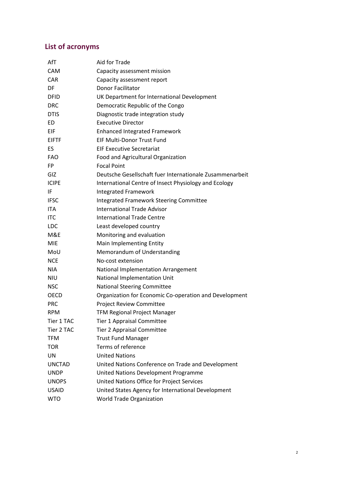# <span id="page-2-0"></span> **List of acronyms**

| AfT           | Aid for Trade                                            |
|---------------|----------------------------------------------------------|
| <b>CAM</b>    | Capacity assessment mission                              |
| <b>CAR</b>    | Capacity assessment report                               |
| DF            | <b>Donor Facilitator</b>                                 |
| <b>DFID</b>   | UK Department for International Development              |
| <b>DRC</b>    | Democratic Republic of the Congo                         |
| <b>DTIS</b>   | Diagnostic trade integration study                       |
| ED            | <b>Executive Director</b>                                |
| EIF           | <b>Enhanced Integrated Framework</b>                     |
| <b>EIFTF</b>  | EIF Multi-Donor Trust Fund                               |
| ES            | <b>EIF Executive Secretariat</b>                         |
| <b>FAO</b>    | Food and Agricultural Organization                       |
| FP            | <b>Focal Point</b>                                       |
| GIZ           | Deutsche Gesellschaft fuer Internationale Zusammenarbeit |
| <b>ICIPE</b>  | International Centre of Insect Physiology and Ecology    |
| IF            | <b>Integrated Framework</b>                              |
| <b>IFSC</b>   | <b>Integrated Framework Steering Committee</b>           |
| <b>ITA</b>    | <b>International Trade Advisor</b>                       |
| <b>ITC</b>    | <b>International Trade Centre</b>                        |
| <b>LDC</b>    | Least developed country                                  |
| M&E           | Monitoring and evaluation                                |
| <b>MIE</b>    | Main Implementing Entity                                 |
| MoU           | Memorandum of Understanding                              |
| <b>NCE</b>    | No-cost extension                                        |
| <b>NIA</b>    | National Implementation Arrangement                      |
| <b>NIU</b>    | National Implementation Unit                             |
| <b>NSC</b>    | <b>National Steering Committee</b>                       |
| <b>OECD</b>   | Organization for Economic Co-operation and Development   |
| <b>PRC</b>    | Project Review Committee                                 |
| <b>RPM</b>    | <b>TFM Regional Project Manager</b>                      |
| Tier 1 TAC    | Tier 1 Appraisal Committee                               |
| Tier 2 TAC    | Tier 2 Appraisal Committee                               |
| <b>TFM</b>    | <b>Trust Fund Manager</b>                                |
| <b>TOR</b>    | Terms of reference                                       |
| UN            | <b>United Nations</b>                                    |
| <b>UNCTAD</b> | United Nations Conference on Trade and Development       |
| <b>UNDP</b>   | United Nations Development Programme                     |
| <b>UNOPS</b>  | United Nations Office for Project Services               |
| <b>USAID</b>  | United States Agency for International Development       |
| <b>WTO</b>    | <b>World Trade Organization</b>                          |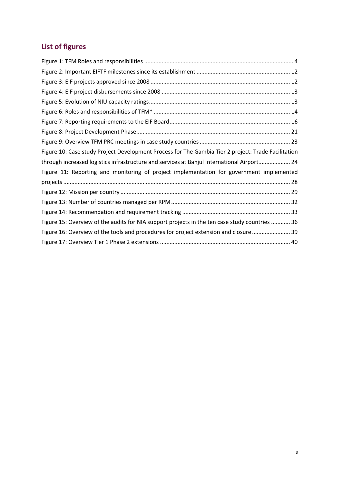# <span id="page-3-0"></span>**List of figures**

| Figure 10: Case study Project Development Process for The Gambia Tier 2 project: Trade Facilitation |
|-----------------------------------------------------------------------------------------------------|
| through increased logistics infrastructure and services at Banjul International Airport 24          |
| Figure 11: Reporting and monitoring of project implementation for government implemented            |
|                                                                                                     |
|                                                                                                     |
|                                                                                                     |
|                                                                                                     |
| Figure 15: Overview of the audits for NIA support projects in the ten case study countries  36      |
| Figure 16: Overview of the tools and procedures for project extension and closure  39               |
|                                                                                                     |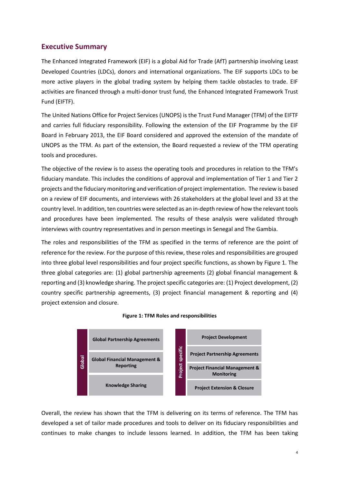## <span id="page-4-0"></span>**Executive Summary**

The Enhanced Integrated Framework (EIF) is a global Aid for Trade (AfT) partnership involving Least Developed Countries (LDCs), donors and international organizations. The EIF supports LDCs to be more active players in the global trading system by helping them tackle obstacles to trade. EIF activities are financed through a multi-donor trust fund, the Enhanced Integrated Framework Trust Fund (EIFTF).

The United Nations Office for Project Services (UNOPS) is the Trust Fund Manager (TFM) of the EIFTF and carries full fiduciary responsibility. Following the extension of the EIF Programme by the EIF Board in February 2013, the EIF Board considered and approved the extension of the mandate of UNOPS as the TFM. As part of the extension, the Board requested a review of the TFM operating tools and procedures.

The objective of the review is to assess the operating tools and procedures in relation to the TFM's fiduciary mandate. This includes the conditions of approval and implementation of Tier 1 and Tier 2 projects and the fiduciary monitoring and verification of project implementation. The review is based on a review of EIF documents, and interviews with 26 stakeholders at the global level and 33 at the country level. In addition, ten countries were selected as an in-depth review of how the relevant tools and procedures have been implemented. The results of these analysis were validated through interviews with country representatives and in person meetings in Senegal and The Gambia.

The roles and responsibilities of the TFM as specified in the terms of reference are the point of reference for the review. For the purpose of this review, these roles and responsibilities are grouped into three global level responsibilities and four project specific functions, as shown by Figure 1. The three global categories are: (1) global partnership agreements (2) global financial management & reporting and (3) knowledge sharing. The project specific categories are: (1) Project development, (2) country specific partnership agreements, (3) project financial management & reporting and (4) project extension and closure.

<span id="page-4-1"></span>



Overall, the review has shown that the TFM is delivering on its terms of reference. The TFM has developed a set of tailor made procedures and tools to deliver on its fiduciary responsibilities and continues to make changes to include lessons learned. In addition, the TFM has been taking 1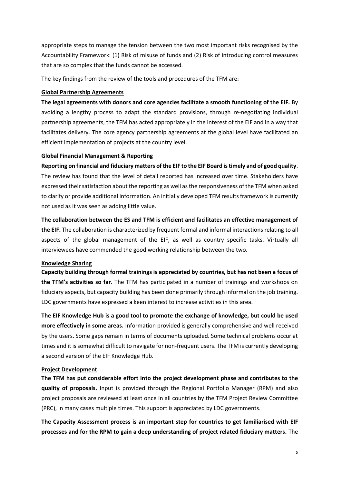appropriate steps to manage the tension between the two most important risks recognised by the Accountability Framework: (1) Risk of misuse of funds and (2) Risk of introducing control measures that are so complex that the funds cannot be accessed.

The key findings from the review of the tools and procedures of the TFM are:

#### **Global Partnership Agreements**

**The legal agreements with donors and core agencies facilitate a smooth functioning of the EIF.** By avoiding a lengthy process to adapt the standard provisions, through re-negotiating individual partnership agreements, the TFM has acted appropriately in the interest of the EIF and in a way that facilitates delivery. The core agency partnership agreements at the global level have facilitated an efficient implementation of projects at the country level.

#### **Global Financial Management & Reporting**

**Reporting on financial and fiduciary matters of the EIF to the EIF Board is timely and of good quality**. The review has found that the level of detail reported has increased over time. Stakeholders have expressed their satisfaction about the reporting as well as the responsiveness of the TFM when asked to clarify or provide additional information. An initially developed TFM results framework is currently not used as it was seen as adding little value.

**The collaboration between the ES and TFM is efficient and facilitates an effective management of the EIF.** The collaboration is characterized by frequent formal and informal interactions relating to all aspects of the global management of the EIF, as well as country specific tasks. Virtually all interviewees have commended the good working relationship between the two.

#### **Knowledge Sharing**

**Capacity building through formal trainings is appreciated by countries, but has not been a focus of the TFM's activities so far**. The TFM has participated in a number of trainings and workshops on fiduciary aspects, but capacity building has been done primarily through informal on the job training. LDC governments have expressed a keen interest to increase activities in this area.

**The EIF Knowledge Hub is a good tool to promote the exchange of knowledge, but could be used more effectively in some areas.** Information provided is generally comprehensive and well received by the users. Some gaps remain in terms of documents uploaded. Some technical problems occur at times and it is somewhat difficult to navigate for non-frequent users. The TFM is currently developing a second version of the EIF Knowledge Hub.

#### **Project Development**

**The TFM has put considerable effort into the project development phase and contributes to the quality of proposals.** Input is provided through the Regional Portfolio Manager (RPM) and also project proposals are reviewed at least once in all countries by the TFM Project Review Committee (PRC), in many cases multiple times. This support is appreciated by LDC governments.

**The Capacity Assessment process is an important step for countries to get familiarised with EIF processes and for the RPM to gain a deep understanding of project related fiduciary matters.** The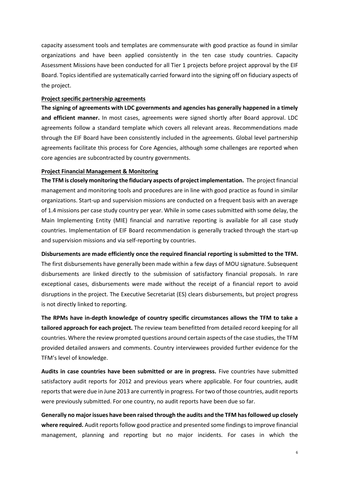capacity assessment tools and templates are commensurate with good practice as found in similar organizations and have been applied consistently in the ten case study countries. Capacity Assessment Missions have been conducted for all Tier 1 projects before project approval by the EIF Board. Topics identified are systematically carried forward into the signing off on fiduciary aspects of the project.

#### **Project specific partnership agreements**

**The signing of agreements with LDC governments and agencies has generally happened in a timely and efficient manner.** In most cases, agreements were signed shortly after Board approval. LDC agreements follow a standard template which covers all relevant areas. Recommendations made through the EIF Board have been consistently included in the agreements. Global level partnership agreements facilitate this process for Core Agencies, although some challenges are reported when core agencies are subcontracted by country governments.

#### **Project Financial Management & Monitoring**

**The TFM is closely monitoring the fiduciary aspects of project implementation.** The project financial management and monitoring tools and procedures are in line with good practice as found in similar organizations. Start-up and supervision missions are conducted on a frequent basis with an average of 1.4 missions per case study country per year. While in some cases submitted with some delay, the Main Implementing Entity (MIE) financial and narrative reporting is available for all case study countries. Implementation of EIF Board recommendation is generally tracked through the start-up and supervision missions and via self-reporting by countries.

**Disbursements are made efficiently once the required financial reporting is submitted to the TFM.** The first disbursements have generally been made within a few days of MOU signature. Subsequent disbursements are linked directly to the submission of satisfactory financial proposals. In rare exceptional cases, disbursements were made without the receipt of a financial report to avoid disruptions in the project. The Executive Secretariat (ES) clears disbursements, but project progress is not directly linked to reporting.

**The RPMs have in-depth knowledge of country specific circumstances allows the TFM to take a tailored approach for each project.** The review team benefitted from detailed record keeping for all countries. Where the review prompted questions around certain aspects of the case studies, the TFM provided detailed answers and comments. Country interviewees provided further evidence for the TFM's level of knowledge.

**Audits in case countries have been submitted or are in progress.** Five countries have submitted satisfactory audit reports for 2012 and previous years where applicable. For four countries, audit reports that were due in June 2013 are currently in progress. For two of those countries, audit reports were previously submitted. For one country, no audit reports have been due so far.

**Generally no major issues have been raised through the audits and the TFM has followed up closely**  where required. Audit reports follow good practice and presented some findings to improve financial management, planning and reporting but no major incidents. For cases in which the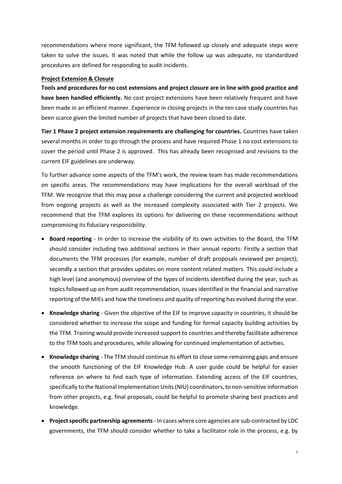recommendations where more significant, the TFM followed up closely and adequate steps were taken to solve the issues. It was noted that while the follow up was adequate, no standardized procedures are defined for responding to audit incidents.

#### **Project Extension & Closure**

**Tools and procedures for no cost extensions and project closure are in line with good practice and have been handled efficiently.** No cost project extensions have been relatively frequent and have been made in an efficient manner. Experience in closing projects in the ten case study countries has been scarce given the limited number of projects that have been closed to date.

**Tier 1 Phase 2 project extension requirements are challenging for countries.** Countries have taken several months in order to go through the process and have required Phase 1 no cost extensions to cover the period until Phase 2 is approved. This has already been recognised and revisions to the current EIF guidelines are underway.

To further advance some aspects of the TFM's work, the review team has made recommendations on specific areas. The recommendations may have implications for the overall workload of the TFM. We recognize that this may pose a challenge considering the current and projected workload from ongoing projects as well as the increased complexity associated with Tier 2 projects. We recommend that the TFM explores its options for delivering on these recommendations without compromising its fiduciary responsibility.

- **Board reporting** In order to increase the visibility of its own activities to the Board, the TFM should consider including two additional sections in their annual reports: Firstly a section that documents the TFM processes (for example, number of draft proposals reviewed per project); secondly a section that provides updates on more content related matters. This could include a high level (and anonymous) overview of the types of incidents identified during the year, such as topics followed up on from audit recommendation, issues identified in the financial and narrative reporting of the MIEs and how the timeliness and quality of reporting has evolved during the year.
- **Knowledge sharing** Given the objective of the EIF to improve capacity in countries, it should be considered whether to increase the scope and funding for formal capacity building activities by the TFM. Training would provide increased support to countries and thereby facilitate adherence to the TFM tools and procedures, while allowing for continued implementation of activities.
- **Knowledge sharing** The TFM should continue its effort to close some remaining gaps and ensure the smooth functioning of the EIF Knowledge Hub. A user guide could be helpful for easier reference on where to find each type of information. Extending access of the EIF countries, specifically to the National Implementation Units (NIU) coordinators, to non-sensitive information from other projects, e.g. final proposals, could be helpful to promote sharing best practices and knowledge.
- **Project specific partnership agreements** In cases where core agencies are sub-contracted by LDC governments, the TFM should consider whether to take a facilitator role in the process, e.g. by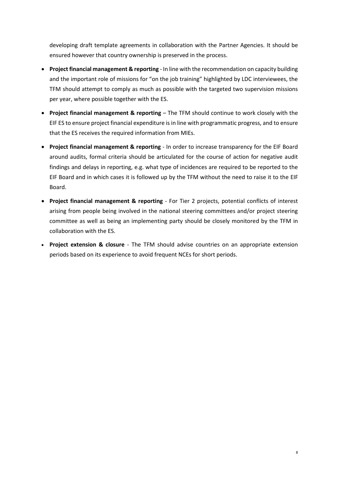developing draft template agreements in collaboration with the Partner Agencies. It should be ensured however that country ownership is preserved in the process.

- **Project financial management & reporting** In line with the recommendation on capacity building and the important role of missions for "on the job training" highlighted by LDC interviewees, the TFM should attempt to comply as much as possible with the targeted two supervision missions per year, where possible together with the ES.
- **Project financial management & reporting** The TFM should continue to work closely with the EIF ES to ensure project financial expenditure is in line with programmatic progress, and to ensure that the ES receives the required information from MIEs.
- **Project financial management & reporting** In order to increase transparency for the EIF Board around audits, formal criteria should be articulated for the course of action for negative audit findings and delays in reporting, e.g. what type of incidences are required to be reported to the EIF Board and in which cases it is followed up by the TFM without the need to raise it to the EIF Board.
- **Project financial management & reporting** For Tier 2 projects, potential conflicts of interest arising from people being involved in the national steering committees and/or project steering committee as well as being an implementing party should be closely monitored by the TFM in collaboration with the ES.
- **Project extension & closure**  The TFM should advise countries on an appropriate extension periods based on its experience to avoid frequent NCEs for short periods.

8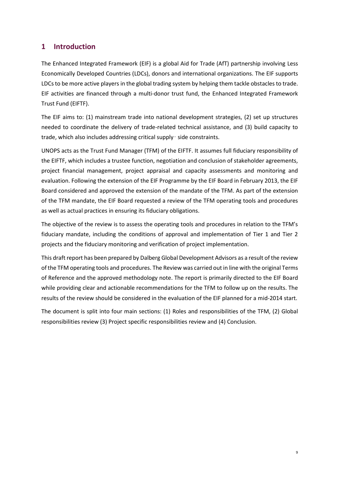## <span id="page-9-0"></span>**1 Introduction**

The Enhanced Integrated Framework (EIF) is a global Aid for Trade (AfT) partnership involving Less Economically Developed Countries (LDCs), donors and international organizations. The EIF supports LDCs to be more active players in the global trading system by helping them tackle obstacles to trade. EIF activities are financed through a multi-donor trust fund, the Enhanced Integrated Framework Trust Fund (EIFTF).

The EIF aims to: (1) mainstream trade into national development strategies, (2) set up structures needed to coordinate the delivery of trade-related technical assistance, and (3) build capacity to trade, which also includes addressing critical supply‑ side constraints.

UNOPS acts as the Trust Fund Manager (TFM) of the EIFTF. It assumes full fiduciary responsibility of the EIFTF, which includes a trustee function, negotiation and conclusion of stakeholder agreements, project financial management, project appraisal and capacity assessments and monitoring and evaluation. Following the extension of the EIF Programme by the EIF Board in February 2013, the EIF Board considered and approved the extension of the mandate of the TFM. As part of the extension of the TFM mandate, the EIF Board requested a review of the TFM operating tools and procedures as well as actual practices in ensuring its fiduciary obligations.

The objective of the review is to assess the operating tools and procedures in relation to the TFM's fiduciary mandate, including the conditions of approval and implementation of Tier 1 and Tier 2 projects and the fiduciary monitoring and verification of project implementation.

This draft report has been prepared by Dalberg Global Development Advisors as a result of the review of the TFM operating tools and procedures. The Review was carried out in line with the original Terms of Reference and the approved methodology note. The report is primarily directed to the EIF Board while providing clear and actionable recommendations for the TFM to follow up on the results. The results of the review should be considered in the evaluation of the EIF planned for a mid-2014 start.

The document is split into four main sections: (1) Roles and responsibilities of the TFM, (2) Global responsibilities review (3) Project specific responsibilities review and (4) Conclusion.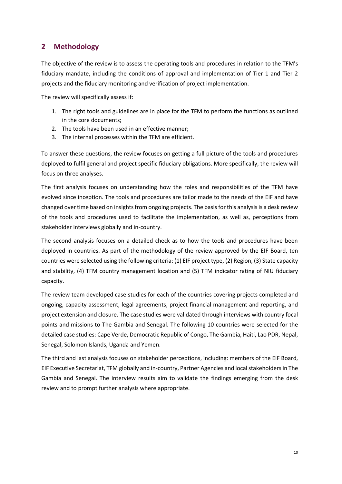## <span id="page-10-0"></span>**2 Methodology**

The objective of the review is to assess the operating tools and procedures in relation to the TFM's fiduciary mandate, including the conditions of approval and implementation of Tier 1 and Tier 2 projects and the fiduciary monitoring and verification of project implementation.

The review will specifically assess if:

- 1. The right tools and guidelines are in place for the TFM to perform the functions as outlined in the core documents;
- 2. The tools have been used in an effective manner;
- 3. The internal processes within the TFM are efficient.

To answer these questions, the review focuses on getting a full picture of the tools and procedures deployed to fulfil general and project specific fiduciary obligations. More specifically, the review will focus on three analyses.

The first analysis focuses on understanding how the roles and responsibilities of the TFM have evolved since inception. The tools and procedures are tailor made to the needs of the EIF and have changed over time based on insights from ongoing projects. The basis for this analysis is a desk review of the tools and procedures used to facilitate the implementation, as well as, perceptions from stakeholder interviews globally and in-country.

The second analysis focuses on a detailed check as to how the tools and procedures have been deployed in countries. As part of the methodology of the review approved by the EIF Board, ten countries were selected using the following criteria: (1) EIF project type, (2) Region, (3) State capacity and stability, (4) TFM country management location and (5) TFM indicator rating of NIU fiduciary capacity.

The review team developed case studies for each of the countries covering projects completed and ongoing, capacity assessment, legal agreements, project financial management and reporting, and project extension and closure. The case studies were validated through interviews with country focal points and missions to The Gambia and Senegal. The following 10 countries were selected for the detailed case studies: Cape Verde, Democratic Republic of Congo, The Gambia, Haiti, Lao PDR, Nepal, Senegal, Solomon Islands, Uganda and Yemen.

The third and last analysis focuses on stakeholder perceptions, including: members of the EIF Board, EIF Executive Secretariat, TFM globally and in-country, Partner Agencies and local stakeholders in The Gambia and Senegal. The interview results aim to validate the findings emerging from the desk review and to prompt further analysis where appropriate.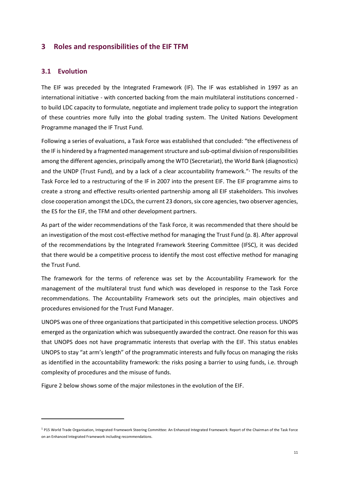## <span id="page-11-0"></span>**3 Roles and responsibilities of the EIF TFM**

#### <span id="page-11-1"></span>**3.1 Evolution**

1

The EIF was preceded by the Integrated Framework (IF). The IF was established in 1997 as an international initiative - with concerted backing from the main multilateral institutions concerned to build LDC capacity to formulate, negotiate and implement trade policy to support the integration of these countries more fully into the global trading system. The United Nations Development Programme managed the IF Trust Fund.

Following a series of evaluations, a Task Force was established that concluded: "the effectiveness of the IF is hindered by a fragmented management structure and sub-optimal division of responsibilities among the different agencies, principally among the WTO (Secretariat), the World Bank (diagnostics) and the UNDP (Trust Fund), and by a lack of a clear accountability framework." <sup>1</sup> The results of the Task Force led to a restructuring of the IF in 2007 into the present EIF. The EIF programme aims to create a strong and effective results‐oriented partnership among all EIF stakeholders. This involves close cooperation amongst the LDCs, the current 23 donors, six core agencies, two observer agencies, the ES for the EIF, the TFM and other development partners.

As part of the wider recommendations of the Task Force, it was recommended that there should be an investigation of the most cost-effective method for managing the Trust Fund (p. 8). After approval of the recommendations by the Integrated Framework Steering Committee (IFSC), it was decided that there would be a competitive process to identify the most cost effective method for managing the Trust Fund.

The framework for the terms of reference was set by the Accountability Framework for the management of the multilateral trust fund which was developed in response to the Task Force recommendations. The Accountability Framework sets out the principles, main objectives and procedures envisioned for the Trust Fund Manager.

UNOPS was one of three organizations that participated in this competitive selection process. UNOPS emerged as the organization which was subsequently awarded the contract. One reason for this was that UNOPS does not have programmatic interests that overlap with the EIF. This status enables UNOPS to stay "at arm's length" of the programmatic interests and fully focus on managing the risks as identified in the accountability framework: the risks posing a barrier to using funds, i.e. through complexity of procedures and the misuse of funds.

Figure 2 below shows some of the major milestones in the evolution of the EIF.

<sup>1</sup> P15 World Trade Organisation, Integrated Framework Steering Committee: An Enhanced Integrated Framework: Report of the Chairman of the Task Force on an Enhanced Integrated Framework including recommendations.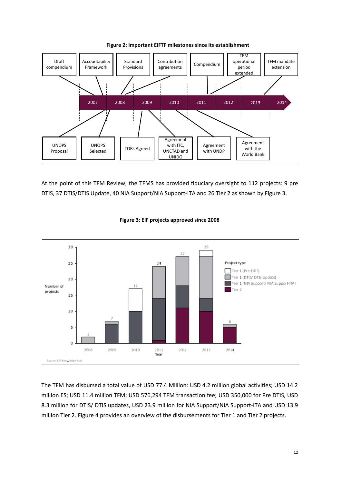<span id="page-12-0"></span>



At the point of this TFM Review, the TFMS has provided fiduciary oversight to 112 projects: 9 pre DTIS, 37 DTIS/DTIS Update, 40 NIA Support/NIA Support-ITA and 26 Tier 2 as shown by Figure 3.

<span id="page-12-1"></span>

#### **Figure 3: EIF projects approved since 2008**

The TFM has disbursed a total value of USD 77.4 Million: USD 4.2 million global activities; USD 14.2 million ES; USD 11.4 million TFM; USD 576,294 TFM transaction fee; USD 350,000 for Pre DTIS, USD 8.3 million for DTIS/ DTIS updates, USD 23.9 million for NIA Support/NIA Support-ITA and USD 13.9 million Tier 2. Figure 4 provides an overview of the disbursements for Tier 1 and Tier 2 projects.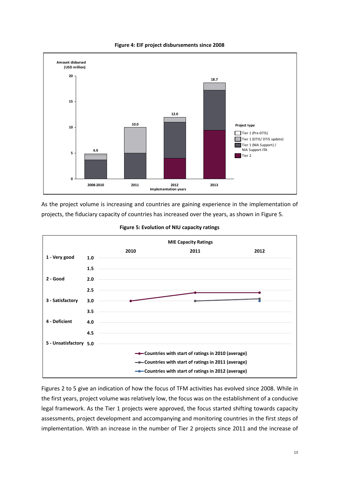<span id="page-13-0"></span>

**Figure 4: EIF project disbursements since 2008**

As the project volume is increasing and countries are gaining experience in the implementation of projects, the fiduciary capacity of countries has increased over the years, as shown in Figure 5.

<span id="page-13-1"></span>

#### **Figure 5: Evolution of NIU capacity ratings**

Figures 2 to 5 give an indication of how the focus of TFM activities has evolved since 2008. While in the first years, project volume was relatively low, the focus was on the establishment of a conducive legal framework. As the Tier 1 projects were approved, the focus started shifting towards capacity assessments, project development and accompanying and monitoring countries in the first steps of implementation. With an increase in the number of Tier 2 projects since 2011 and the increase of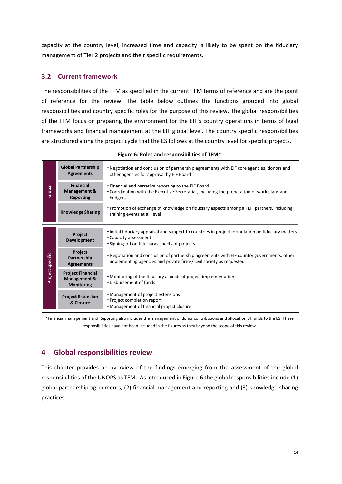capacity at the country level, increased time and capacity is likely to be spent on the fiduciary management of Tier 2 projects and their specific requirements.

#### <span id="page-14-0"></span>**3.2 Current framework**

The responsibilities of the TFM as specified in the current TFM terms of reference and are the point of reference for the review. The table below outlines the functions grouped into global responsibilities and country specific roles for the purpose of this review. The global responsibilities of the TFM focus on preparing the environment for the EIF's country operations in terms of legal frameworks and financial management at the EIF global level. The country specific responsibilities are structured along the project cycle that the ES follows at the country level for specific projects.

<span id="page-14-2"></span>

|                  | <b>Global Partnership</b><br><b>Agreements</b>                           | • Negotiation and conclusion of partnership agreements with EIF core agencies, donors and<br>other agencies for approval by EIF Board                                         |
|------------------|--------------------------------------------------------------------------|-------------------------------------------------------------------------------------------------------------------------------------------------------------------------------|
| Global           | <b>Financial</b><br>Management &<br><b>Reporting</b>                     | • Financial and narrative reporting to the EIF Board<br>• Coordination with the Executive Secretariat, including the preparation of work plans and<br>budgets                 |
|                  | <b>Knowledge Sharing</b>                                                 | • Promotion of exchange of knowledge on fiduciary aspects among all EIF partners, including<br>training events at all level                                                   |
| Project specific | <b>Project</b><br><b>Development</b>                                     | • Initial fiduciary appraisal and support to countries in project formulation on fiduciary matters<br>• Capacity assessment<br>• Signing-off on fiduciary aspects of projects |
|                  | Project<br>Partnership<br><b>Agreements</b>                              | • Negotiation and conclusion of partnership agreements with EIF country governments, other<br>implementing agencies and private firms/civil society as requested              |
|                  | <b>Project Financial</b><br><b>Management &amp;</b><br><b>Monitoring</b> | • Monitoring of the fiduciary aspects of project implementation<br>. Disbursement of funds                                                                                    |
|                  | <b>Project Extension</b><br>& Closure                                    | • Management of project extensions<br>• Project completion report<br>• Management of financial project closure                                                                |

| Figure 6: Roles and responsibilities of TFM* |  |  |
|----------------------------------------------|--|--|
|----------------------------------------------|--|--|

\*Financial management and Reporting also includes the management of donor contributions and allocation of funds to the ES. These responsibilities have not been included in the figures as they beyond the scope of this review.

## <span id="page-14-1"></span>**4 Global responsibilities review**

This chapter provides an overview of the findings emerging from the assessment of the global responsibilities of the UNOPS as TFM. As introduced in Figure 6 the global responsibilities include (1) global partnership agreements, (2) financial management and reporting and (3) knowledge sharing practices.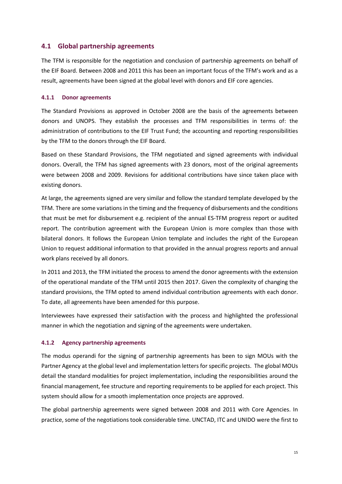### <span id="page-15-0"></span>**4.1 Global partnership agreements**

The TFM is responsible for the negotiation and conclusion of partnership agreements on behalf of the EIF Board. Between 2008 and 2011 this has been an important focus of the TFM's work and as a result, agreements have been signed at the global level with donors and EIF core agencies.

#### **4.1.1 Donor agreements**

The Standard Provisions as approved in October 2008 are the basis of the agreements between donors and UNOPS. They establish the processes and TFM responsibilities in terms of: the administration of contributions to the EIF Trust Fund; the accounting and reporting responsibilities by the TFM to the donors through the EIF Board.

Based on these Standard Provisions, the TFM negotiated and signed agreements with individual donors. Overall, the TFM has signed agreements with 23 donors, most of the original agreements were between 2008 and 2009. Revisions for additional contributions have since taken place with existing donors.

At large, the agreements signed are very similar and follow the standard template developed by the TFM. There are some variations in the timing and the frequency of disbursements and the conditions that must be met for disbursement e.g. recipient of the annual ES-TFM progress report or audited report. The contribution agreement with the European Union is more complex than those with bilateral donors. It follows the European Union template and includes the right of the European Union to request additional information to that provided in the annual progress reports and annual work plans received by all donors.

In 2011 and 2013, the TFM initiated the process to amend the donor agreements with the extension of the operational mandate of the TFM until 2015 then 2017. Given the complexity of changing the standard provisions, the TFM opted to amend individual contribution agreements with each donor. To date, all agreements have been amended for this purpose.

Interviewees have expressed their satisfaction with the process and highlighted the professional manner in which the negotiation and signing of the agreements were undertaken.

#### **4.1.2 Agency partnership agreements**

The modus operandi for the signing of partnership agreements has been to sign MOUs with the Partner Agency at the global level and implementation letters for specific projects. The global MOUs detail the standard modalities for project implementation, including the responsibilities around the financial management, fee structure and reporting requirements to be applied for each project. This system should allow for a smooth implementation once projects are approved.

The global partnership agreements were signed between 2008 and 2011 with Core Agencies. In practice, some of the negotiations took considerable time. UNCTAD, ITC and UNIDO were the first to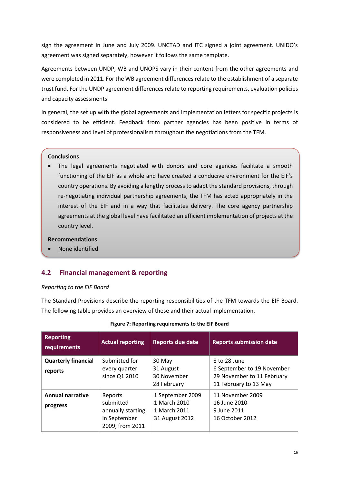sign the agreement in June and July 2009. UNCTAD and ITC signed a joint agreement. UNIDO's agreement was signed separately, however it follows the same template.

Agreements between UNDP, WB and UNOPS vary in their content from the other agreements and were completed in 2011. For the WB agreement differencesrelate to the establishment of a separate trust fund. For the UNDP agreement differences relate to reporting requirements, evaluation policies and capacity assessments.

In general, the set up with the global agreements and implementation letters for specific projects is considered to be efficient. Feedback from partner agencies has been positive in terms of responsiveness and level of professionalism throughout the negotiations from the TFM.

#### **Conclusions**

 The legal agreements negotiated with donors and core agencies facilitate a smooth functioning of the EIF as a whole and have created a conducive environment for the EIF's country operations. By avoiding a lengthy process to adapt the standard provisions, through re-negotiating individual partnership agreements, the TFM has acted appropriately in the interest of the EIF and in a way that facilitates delivery. The core agency partnership agreements at the global level have facilitated an efficient implementation of projects at the country level.

#### **Recommendations**

<span id="page-16-0"></span>None identified

#### **4.2 Financial management & reporting**

#### *Reporting to the EIF Board*

The Standard Provisions describe the reporting responsibilities of the TFM towards the EIF Board. The following table provides an overview of these and their actual implementation.

<span id="page-16-1"></span>

| <b>Reporting</b><br>requirements      | <b>Actual reporting</b>                                                      | <b>Reports due date</b>                                            | <b>Reports submission date</b>                                                                    |
|---------------------------------------|------------------------------------------------------------------------------|--------------------------------------------------------------------|---------------------------------------------------------------------------------------------------|
| <b>Quarterly financial</b><br>reports | Submitted for<br>every quarter<br>since Q1 2010                              | 30 May<br>31 August<br>30 November<br>28 February                  | 8 to 28 June<br>6 September to 19 November<br>29 November to 11 February<br>11 February to 13 May |
| <b>Annual narrative</b><br>progress   | Reports<br>submitted<br>annually starting<br>in September<br>2009, from 2011 | 1 September 2009<br>1 March 2010<br>1 March 2011<br>31 August 2012 | 11 November 2009<br>16 June 2010<br>9 June 2011<br>16 October 2012                                |

#### **Figure 7: Reporting requirements to the EIF Board**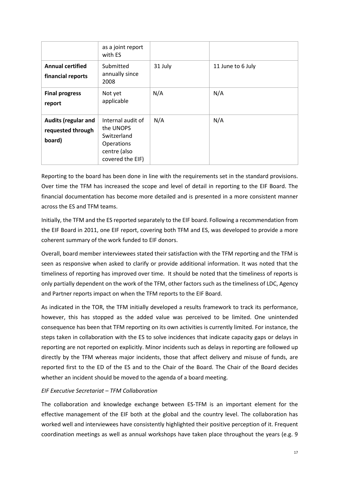|                                                           | as a joint report<br>with ES                                                                           |         |                   |
|-----------------------------------------------------------|--------------------------------------------------------------------------------------------------------|---------|-------------------|
| <b>Annual certified</b><br>financial reports              | Submitted<br>annually since<br>2008                                                                    | 31 July | 11 June to 6 July |
| <b>Final progress</b><br>report                           | Not yet<br>applicable                                                                                  | N/A     | N/A               |
| <b>Audits (regular and</b><br>requested through<br>board) | Internal audit of<br>the UNOPS<br>Switzerland<br><b>Operations</b><br>centre (also<br>covered the EIF) | N/A     | N/A               |

Reporting to the board has been done in line with the requirements set in the standard provisions. Over time the TFM has increased the scope and level of detail in reporting to the EIF Board. The financial documentation has become more detailed and is presented in a more consistent manner across the ES and TFM teams.

Initially, the TFM and the ES reported separately to the EIF board. Following a recommendation from the EIF Board in 2011, one EIF report, covering both TFM and ES, was developed to provide a more coherent summary of the work funded to EIF donors.

Overall, board member interviewees stated their satisfaction with the TFM reporting and the TFM is seen as responsive when asked to clarify or provide additional information. It was noted that the timeliness of reporting has improved over time. It should be noted that the timeliness of reports is only partially dependent on the work of the TFM, other factors such as the timeliness of LDC, Agency and Partner reports impact on when the TFM reports to the EIF Board.

As indicated in the TOR, the TFM initially developed a results framework to track its performance, however, this has stopped as the added value was perceived to be limited. One unintended consequence has been that TFM reporting on its own activities is currently limited. For instance, the steps taken in collaboration with the ES to solve incidences that indicate capacity gaps or delays in reporting are not reported on explicitly. Minor incidents such as delays in reporting are followed up directly by the TFM whereas major incidents, those that affect delivery and misuse of funds, are reported first to the ED of the ES and to the Chair of the Board. The Chair of the Board decides whether an incident should be moved to the agenda of a board meeting.

#### *EIF Executive Secretariat – TFM Collaboration*

The collaboration and knowledge exchange between ES-TFM is an important element for the effective management of the EIF both at the global and the country level. The collaboration has worked well and interviewees have consistently highlighted their positive perception of it. Frequent coordination meetings as well as annual workshops have taken place throughout the years (e.g. 9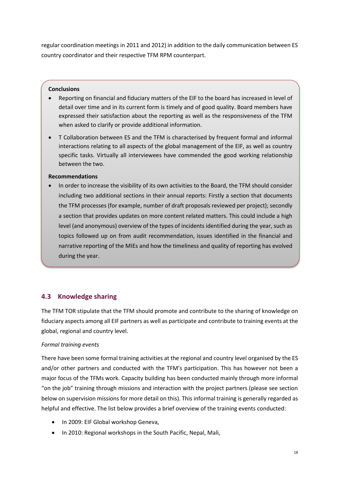regular coordination meetings in 2011 and 2012) in addition to the daily communication between ES country coordinator and their respective TFM RPM counterpart.

#### **Conclusions**

- Reporting on financial and fiduciary matters of the EIF to the board has increased in level of detail over time and in its current form is timely and of good quality. Board members have expressed their satisfaction about the reporting as well as the responsiveness of the TFM when asked to clarify or provide additional information.
- T Collaboration between ES and the TFM is characterised by frequent formal and informal interactions relating to all aspects of the global management of the EIF, as well as country specific tasks. Virtually all interviewees have commended the good working relationship between the two.

#### **Recommendations**

 In order to increase the visibility of its own activities to the Board, the TFM should consider including two additional sections in their annual reports: Firstly a section that documents the TFM processes (for example, number of draft proposals reviewed per project); secondly a section that provides updates on more content related matters. This could include a high level (and anonymous) overview of the types of incidents identified during the year, such as topics followed up on from audit recommendation, issues identified in the financial and narrative reporting of the MIEs and how the timeliness and quality of reporting has evolved during the year.

#### <span id="page-18-0"></span>**4.3 Knowledge sharing**

The TFM TOR stipulate that the TFM should promote and contribute to the sharing of knowledge on fiduciary aspects among all EIF partners as well as participate and contribute to training events at the global, regional and country level.

#### *Formal training events*

There have been some formal training activities at the regional and country level organised by the ES and/or other partners and conducted with the TFM's participation. This has however not been a major focus of the TFMs work. Capacity building has been conducted mainly through more informal "on the job" training through missions and interaction with the project partners (please see section below on supervision missions for more detail on this). This informal training is generally regarded as helpful and effective. The list below provides a brief overview of the training events conducted:

- In 2009: EIF Global workshop Geneva,
- In 2010: Regional workshops in the South Pacific, Nepal, Mali,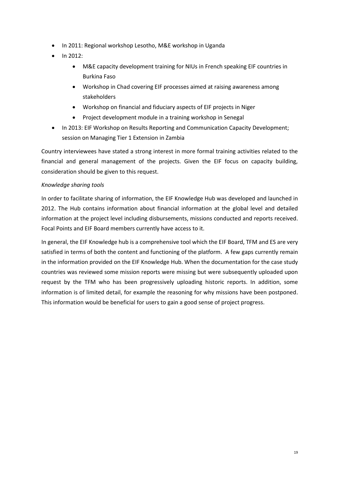- In 2011: Regional workshop Lesotho, M&E workshop in Uganda
- $\bullet$  In 2012:
	- M&E capacity development training for NIUs in French speaking EIF countries in Burkina Faso
	- Workshop in Chad covering EIF processes aimed at raising awareness among stakeholders
	- Workshop on financial and fiduciary aspects of EIF projects in Niger
	- Project development module in a training workshop in Senegal
- In 2013: EIF Workshop on Results Reporting and Communication Capacity Development; session on Managing Tier 1 Extension in Zambia

Country interviewees have stated a strong interest in more formal training activities related to the financial and general management of the projects. Given the EIF focus on capacity building, consideration should be given to this request.

#### *Knowledge sharing tools*

In order to facilitate sharing of information, the EIF Knowledge Hub was developed and launched in 2012. The Hub contains information about financial information at the global level and detailed information at the project level including disbursements, missions conducted and reports received. Focal Points and EIF Board members currently have access to it.

In general, the EIF Knowledge hub is a comprehensive tool which the EIF Board, TFM and ES are very satisfied in terms of both the content and functioning of the platform. A few gaps currently remain in the information provided on the EIF Knowledge Hub. When the documentation for the case study countries was reviewed some mission reports were missing but were subsequently uploaded upon request by the TFM who has been progressively uploading historic reports. In addition, some information is of limited detail, for example the reasoning for why missions have been postponed. This information would be beneficial for users to gain a good sense of project progress.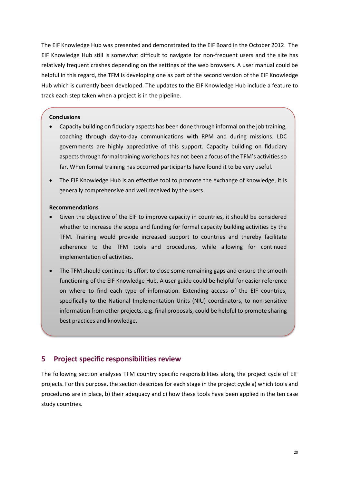The EIF Knowledge Hub was presented and demonstrated to the EIF Board in the October 2012. The EIF Knowledge Hub still is somewhat difficult to navigate for non-frequent users and the site has relatively frequent crashes depending on the settings of the web browsers. A user manual could be helpful in this regard, the TFM is developing one as part of the second version of the EIF Knowledge Hub which is currently been developed. The updates to the EIF Knowledge Hub include a feature to track each step taken when a project is in the pipeline.

#### **Conclusions**

- Capacity building on fiduciary aspects has been done through informal on the job training, coaching through day-to-day communications with RPM and during missions. LDC governments are highly appreciative of this support. Capacity building on fiduciary aspects through formal training workshops has not been a focus of the TFM's activities so far. When formal training has occurred participants have found it to be very useful.
- The EIF Knowledge Hub is an effective tool to promote the exchange of knowledge, it is generally comprehensive and well received by the users.

#### **Recommendations**

- Given the objective of the EIF to improve capacity in countries, it should be considered whether to increase the scope and funding for formal capacity building activities by the TFM. Training would provide increased support to countries and thereby facilitate adherence to the TFM tools and procedures, while allowing for continued implementation of activities.
- The TFM should continue its effort to close some remaining gaps and ensure the smooth functioning of the EIF Knowledge Hub. A user guide could be helpful for easier reference on where to find each type of information. Extending access of the EIF countries, specifically to the National Implementation Units (NIU) coordinators, to non-sensitive information from other projects, e.g. final proposals, could be helpful to promote sharing best practices and knowledge.

### <span id="page-20-0"></span>**5 Project specific responsibilities review**

The following section analyses TFM country specific responsibilities along the project cycle of EIF projects. For this purpose, the section describes for each stage in the project cycle a) which tools and procedures are in place, b) their adequacy and c) how these tools have been applied in the ten case study countries.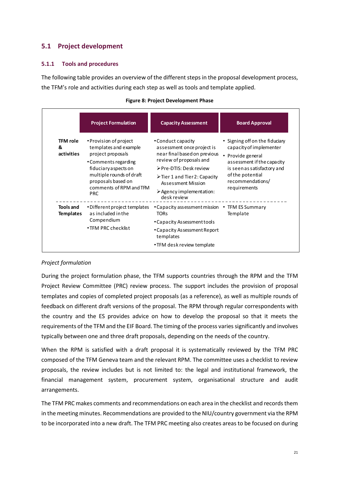## <span id="page-21-0"></span>**5.1 Project development**

#### **5.1.1 Tools and procedures**

The following table provides an overview of the different steps in the proposal development process, the TFM's role and activities during each step as well as tools and template applied.

<span id="page-21-1"></span>

|                                      | <b>Project Formulation</b>                                                                                                                                                                                      | <b>Capacity Assessment</b>                                                                                                                                                                                                                                                            | <b>Board Approval</b>                                                                                                                                                                               |
|--------------------------------------|-----------------------------------------------------------------------------------------------------------------------------------------------------------------------------------------------------------------|---------------------------------------------------------------------------------------------------------------------------------------------------------------------------------------------------------------------------------------------------------------------------------------|-----------------------------------------------------------------------------------------------------------------------------------------------------------------------------------------------------|
| TFM role<br>&<br>activities          | • Provision of project<br>templates and example<br>project proposals<br>• Comments regarding<br>fiduciary aspects on<br>multiple rounds of draft<br>proposals based on<br>comments of RPM and TFM<br><b>PRC</b> | • Conduct capacity<br>assessment once project is<br>near final based on previous<br>review of proposals and<br>$\triangleright$ Pre-DTIS: Desk review<br>$\triangleright$ Tier 1 and Tier 2: Capacity<br>Assessment Mission<br>$\triangleright$ Agency implementation:<br>desk review | • Signing off on the fiduciary<br>capacity of implementer<br>• Provide general<br>assessment if the capacity<br>is seen as satisfactory and<br>of the potential<br>recommendations/<br>requirements |
| <b>Tools and</b><br><b>Templates</b> | • Different project templates<br>as included in the<br>Compendium<br>$\cdot$ TFM PRC checklist                                                                                                                  | • Capacity assessment mission<br><b>TORS</b><br>• Capacity Assessment tools<br>• Capacity Assessment Report<br>templates<br>• TFM desk review template                                                                                                                                | • TFM ES Summary<br>Template                                                                                                                                                                        |

#### **Figure 8: Project Development Phase Project Development Phase**

#### *Project formulation*

During the project formulation phase, the TFM supports countries through the RPM and the TFM Project Review Committee (PRC) review process. The support includes the provision of proposal templates and copies of completed project proposals (as a reference), as well as multiple rounds of feedback on different draft versions of the proposal. The RPM through regular correspondents with the country and the ES provides advice on how to develop the proposal so that it meets the requirements of the TFM and the EIF Board. The timing of the process varies significantly and involves typically between one and three draft proposals, depending on the needs of the country.

When the RPM is satisfied with a draft proposal it is systematically reviewed by the TFM PRC composed of the TFM Geneva team and the relevant RPM. The committee uses a checklist to review proposals, the review includes but is not limited to: the legal and institutional framework, the financial management system, procurement system, organisational structure and audit arrangements.

The TFM PRC makes comments and recommendations on each area in the checklist and records them in the meeting minutes. Recommendations are provided to the NIU/country government via the RPM to be incorporated into a new draft. The TFM PRC meeting also creates areas to be focused on during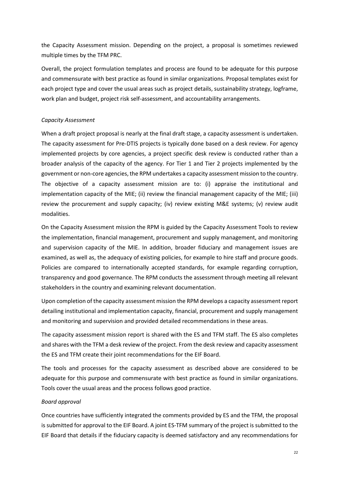the Capacity Assessment mission. Depending on the project, a proposal is sometimes reviewed multiple times by the TFM PRC.

Overall, the project formulation templates and process are found to be adequate for this purpose and commensurate with best practice as found in similar organizations. Proposal templates exist for each project type and cover the usual areas such as project details, sustainability strategy, logframe, work plan and budget, project risk self-assessment, and accountability arrangements.

#### *Capacity Assessment*

When a draft project proposal is nearly at the final draft stage, a capacity assessment is undertaken. The capacity assessment for Pre-DTIS projects is typically done based on a desk review. For agency implemented projects by core agencies, a project specific desk review is conducted rather than a broader analysis of the capacity of the agency. For Tier 1 and Tier 2 projects implemented by the government or non-core agencies, the RPM undertakes a capacity assessment mission to the country. The objective of a capacity assessment mission are to: (i) appraise the institutional and implementation capacity of the MIE; (ii) review the financial management capacity of the MIE; (iii) review the procurement and supply capacity; (iv) review existing M&E systems; (v) review audit modalities.

On the Capacity Assessment mission the RPM is guided by the Capacity Assessment Tools to review the implementation, financial management, procurement and supply management, and monitoring and supervision capacity of the MIE. In addition, broader fiduciary and management issues are examined, as well as, the adequacy of existing policies, for example to hire staff and procure goods. Policies are compared to internationally accepted standards, for example regarding corruption, transparency and good governance. The RPM conducts the assessment through meeting all relevant stakeholders in the country and examining relevant documentation.

Upon completion of the capacity assessment mission the RPM develops a capacity assessment report detailing institutional and implementation capacity, financial, procurement and supply management and monitoring and supervision and provided detailed recommendations in these areas.

The capacity assessment mission report is shared with the ES and TFM staff. The ES also completes and shares with the TFM a desk review of the project. From the desk review and capacity assessment the ES and TFM create their joint recommendations for the EIF Board.

The tools and processes for the capacity assessment as described above are considered to be adequate for this purpose and commensurate with best practice as found in similar organizations. Tools cover the usual areas and the process follows good practice.

#### *Board approval*

Once countries have sufficiently integrated the comments provided by ES and the TFM, the proposal is submitted for approval to the EIF Board. A joint ES-TFM summary of the project is submitted to the EIF Board that details if the fiduciary capacity is deemed satisfactory and any recommendations for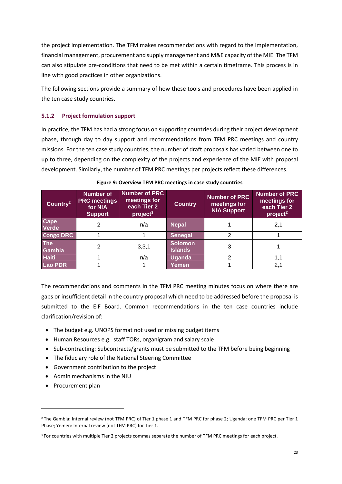the project implementation. The TFM makes recommendations with regard to the implementation, financial management, procurement and supply management and M&E capacity of the MIE. The TFM can also stipulate pre-conditions that need to be met within a certain timeframe. This process is in line with good practices in other organizations.

The following sections provide a summary of how these tools and procedures have been applied in the ten case study countries.

#### **5.1.2 Project formulation support**

In practice, the TFM has had a strong focus on supporting countries during their project development phase, through day to day support and recommendations from TFM PRC meetings and country missions. For the ten case study countries, the number of draft proposals has varied between one to up to three, depending on the complexity of the projects and experience of the MIE with proposal development. Similarly, the number of TFM PRC meetings per projects reflect these differences.

<span id="page-23-0"></span>

| Country <sup>2</sup> | <b>Number of</b><br><b>PRC meetings</b><br>for NIA<br><b>Support</b> | <b>Number of PRC</b><br>meetings for<br>each Tier 2<br>project <sup>3</sup> | <b>Country</b>                   | <b>Number of PRC</b><br>meetings for<br><b>NIA Support</b> | <b>Number of PRC</b><br>meetings for<br>each Tier 2<br>project <sup>2</sup> |
|----------------------|----------------------------------------------------------------------|-----------------------------------------------------------------------------|----------------------------------|------------------------------------------------------------|-----------------------------------------------------------------------------|
| Cape<br><b>Verde</b> | $\overline{2}$                                                       | n/a                                                                         | <b>Nepal</b>                     |                                                            | 2,1                                                                         |
| <b>Congo DRC</b>     |                                                                      |                                                                             | <b>Senegal</b>                   | 2                                                          |                                                                             |
| <b>The</b><br>Gambia | 2                                                                    | 3,3,1                                                                       | <b>Solomon</b><br><b>Islands</b> | 3                                                          |                                                                             |
| <b>Haiti</b>         |                                                                      | n/a                                                                         | <b>Uganda</b>                    | 2                                                          |                                                                             |
| <b>Lao PDR</b>       |                                                                      |                                                                             | Yemen                            |                                                            | 2,1                                                                         |

|  |  | Figure 9: Overview TFM PRC meetings in case study countries |
|--|--|-------------------------------------------------------------|
|--|--|-------------------------------------------------------------|

The recommendations and comments in the TFM PRC meeting minutes focus on where there are gaps or insufficient detail in the country proposal which need to be addressed before the proposal is submitted to the EIF Board. Common recommendations in the ten case countries include clarification/revision of:

- The budget e.g. UNOPS format not used or missing budget items
- Human Resources e.g. staff TORs, organigram and salary scale
- Sub-contracting: Subcontracts/grants must be submitted to the TFM before being beginning
- The fiduciary role of the National Steering Committee
- Government contribution to the project
- Admin mechanisms in the NIU
- Procurement plan

1

<sup>&</sup>lt;sup>2</sup> The Gambia: Internal review (not TFM PRC) of Tier 1 phase 1 and TFM PRC for phase 2; Uganda: one TFM PRC per Tier 1 Phase; Yemen: Internal review (not TFM PRC) for Tier 1.

<sup>3</sup> For countries with multiple Tier 2 projects commas separate the number of TFM PRC meetings for each project.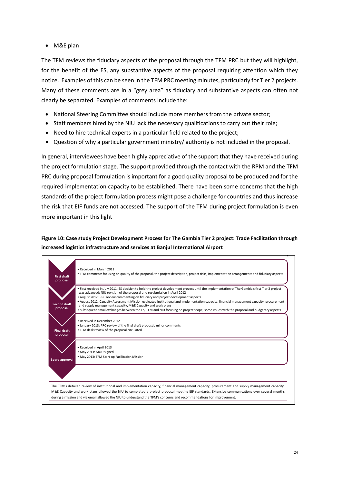M&E plan

The TFM reviews the fiduciary aspects of the proposal through the TFM PRC but they will highlight, for the benefit of the ES, any substantive aspects of the proposal requiring attention which they notice. Examples of this can be seen in the TFM PRC meeting minutes, particularly for Tier 2 projects. Many of these comments are in a "grey area" as fiduciary and substantive aspects can often not clearly be separated. Examples of comments include the:

- National Steering Committee should include more members from the private sector;
- Staff members hired by the NIU lack the necessary qualifications to carry out their role;
- Need to hire technical experts in a particular field related to the project;
- Question of why a particular government ministry/ authority is not included in the proposal.

In general, interviewees have been highly appreciative of the support that they have received during the project formulation stage. The support provided through the contact with the RPM and the TFM PRC during proposal formulation is important for a good quality proposal to be produced and for the required implementation capacity to be established. There have been some concerns that the high standards of the project formulation process might pose a challenge for countries and thus increase the risk that EIF funds are not accessed. The support of the TFM during project formulation is even more important in this light

## <span id="page-24-0"></span>**Figure 10: Case study Project Development Process for The Gambia Tier 2 project: Trade Facilitation through increased logistics infrastructure and services at Banjul International Airport Case study GIA**

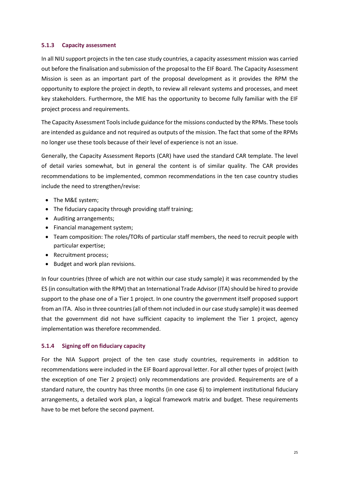#### **5.1.3 Capacity assessment**

In all NIU support projects in the ten case study countries, a capacity assessment mission was carried out before the finalisation and submission of the proposal to the EIF Board. The Capacity Assessment Mission is seen as an important part of the proposal development as it provides the RPM the opportunity to explore the project in depth, to review all relevant systems and processes, and meet key stakeholders. Furthermore, the MIE has the opportunity to become fully familiar with the EIF project process and requirements.

The Capacity Assessment Tools include guidance for the missions conducted by the RPMs. These tools are intended as guidance and not required as outputs of the mission. The fact that some of the RPMs no longer use these tools because of their level of experience is not an issue.

Generally, the Capacity Assessment Reports (CAR) have used the standard CAR template. The level of detail varies somewhat, but in general the content is of similar quality. The CAR provides recommendations to be implemented, common recommendations in the ten case country studies include the need to strengthen/revise:

- The M&E system;
- The fiduciary capacity through providing staff training;
- Auditing arrangements;
- Financial management system;
- Team composition: The roles/TORs of particular staff members, the need to recruit people with particular expertise;
- Recruitment process;
- Budget and work plan revisions.

In four countries (three of which are not within our case study sample) it was recommended by the ES (in consultation with the RPM) that an International Trade Advisor (ITA) should be hired to provide support to the phase one of a Tier 1 project. In one country the government itself proposed support from an ITA. Also in three countries (all of them not included in our case study sample) it was deemed that the government did not have sufficient capacity to implement the Tier 1 project, agency implementation was therefore recommended.

#### **5.1.4 Signing off on fiduciary capacity**

For the NIA Support project of the ten case study countries, requirements in addition to recommendations were included in the EIF Board approval letter. For all other types of project (with the exception of one Tier 2 project) only recommendations are provided. Requirements are of a standard nature, the country has three months (in one case 6) to implement institutional fiduciary arrangements, a detailed work plan, a logical framework matrix and budget. These requirements have to be met before the second payment.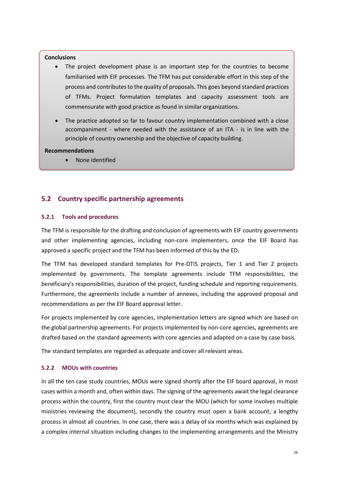#### **Conclusions**

- The project development phase is an important step for the countries to become familiarised with EIF processes. The TFM has put considerable effort in this step of the process and contributes to the quality of proposals. This goes beyond standard practices of TFMs. Project formulation templates and capacity assessment tools are commensurate with good practice as found in similar organizations.
- The practice adopted so far to favour country implementation combined with a close accompaniment - where needed with the assistance of an ITA - is in line with the principle of country ownership and the objective of capacity building.

#### **Recommendations**

None identified

## <span id="page-26-0"></span>**5.2 Country specific partnership agreements**

#### **5.2.1 Tools and procedures**

The TFM is responsible for the drafting and conclusion of agreements with EIF country governments and other implementing agencies, including non-core implementers, once the EIF Board has approved a specific project and the TFM has been informed of this by the ED.

The TFM has developed standard templates for Pre-DTIS projects, Tier 1 and Tier 2 projects implemented by governments. The template agreements include TFM responsibilities, the beneficiary's responsibilities, duration of the project, funding schedule and reporting requirements. Furthermore, the agreements include a number of annexes, including the approved proposal and recommendations as per the EIF Board approval letter.

For projects implemented by core agencies, implementation letters are signed which are based on the global partnership agreements. For projects implemented by non-core agencies, agreements are drafted based on the standard agreements with core agencies and adapted on a case by case basis.

The standard templates are regarded as adequate and cover all relevant areas.

#### **5.2.2 MOUs with countries**

In all the ten case study countries, MOUs were signed shortly after the EIF board approval, in most cases within a month and, often within days. The signing of the agreements await the legal clearance process within the country, first the country must clear the MOU (which for some involves multiple ministries reviewing the document), secondly the country must open a bank account, a lengthy process in almost all countries. In one case, there was a delay of six months which was explained by a complex internal situation including changes to the implementing arrangements and the Ministry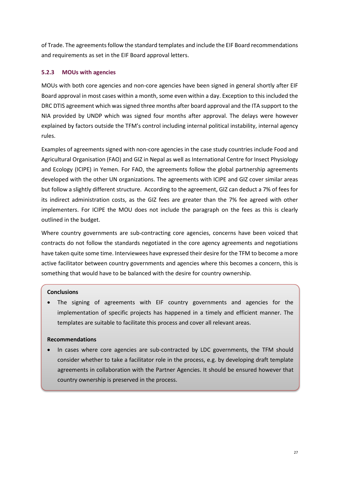of Trade. The agreements follow the standard templates and include the EIF Board recommendations and requirements as set in the EIF Board approval letters.

#### **5.2.3 MOUs with agencies**

MOUs with both core agencies and non-core agencies have been signed in general shortly after EIF Board approval in most cases within a month, some even within a day. Exception to this included the DRC DTIS agreement which was signed three months after board approval and the ITA support to the NIA provided by UNDP which was signed four months after approval. The delays were however explained by factors outside the TFM's control including internal political instability, internal agency rules.

Examples of agreements signed with non-core agencies in the case study countries include Food and Agricultural Organisation (FAO) and GIZ in Nepal as well as International Centre for Insect Physiology and Ecology (ICIPE) in Yemen. For FAO, the agreements follow the global partnership agreements developed with the other UN organizations. The agreements with ICIPE and GIZ cover similar areas but follow a slightly different structure. According to the agreement, GIZ can deduct a 7% of fees for its indirect administration costs, as the GIZ fees are greater than the 7% fee agreed with other implementers. For ICIPE the MOU does not include the paragraph on the fees as this is clearly outlined in the budget.

Where country governments are sub-contracting core agencies, concerns have been voiced that contracts do not follow the standards negotiated in the core agency agreements and negotiations have taken quite some time. Interviewees have expressed their desire for the TFM to become a more active facilitator between country governments and agencies where this becomes a concern, this is something that would have to be balanced with the desire for country ownership.

#### **Conclusions**

 The signing of agreements with EIF country governments and agencies for the implementation of specific projects has happened in a timely and efficient manner. The templates are suitable to facilitate this process and cover all relevant areas.

#### **Recommendations**

 In cases where core agencies are sub-contracted by LDC governments, the TFM should consider whether to take a facilitator role in the process, e.g. by developing draft template agreements in collaboration with the Partner Agencies. It should be ensured however that country ownership is preserved in the process.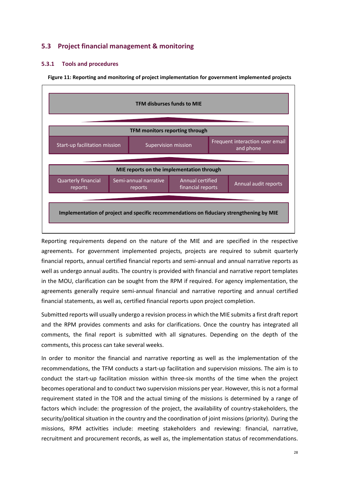## <span id="page-28-0"></span>**5.3 Project financial management & monitoring**

#### **5.3.1 Tools and procedures**

<span id="page-28-1"></span>**Figure 11: Reporting and monitoring of project implementation for government implemented projects**



Reporting requirements depend on the nature of the MIE and are specified in the respective agreements. For government implemented projects, projects are required to submit quarterly financial reports, annual certified financial reports and semi-annual and annual narrative reports as well as undergo annual audits. The country is provided with financial and narrative report templates in the MOU, clarification can be sought from the RPM if required. For agency implementation, the agreements generally require semi-annual financial and narrative reporting and annual certified financial statements, as well as, certified financial reports upon project completion.

Submitted reports will usually undergo a revision process in which the MIE submits a first draft report and the RPM provides comments and asks for clarifications. Once the country has integrated all comments, the final report is submitted with all signatures. Depending on the depth of the comments, this process can take several weeks.

In order to monitor the financial and narrative reporting as well as the implementation of the recommendations, the TFM conducts a start-up facilitation and supervision missions. The aim is to conduct the start-up facilitation mission within three-six months of the time when the project becomes operational and to conduct two supervision missions per year. However, this is not a formal requirement stated in the TOR and the actual timing of the missions is determined by a range of factors which include: the progression of the project, the availability of country-stakeholders, the security/political situation in the country and the coordination of joint missions (priority). During the missions, RPM activities include: meeting stakeholders and reviewing: financial, narrative, recruitment and procurement records, as well as, the implementation status of recommendations.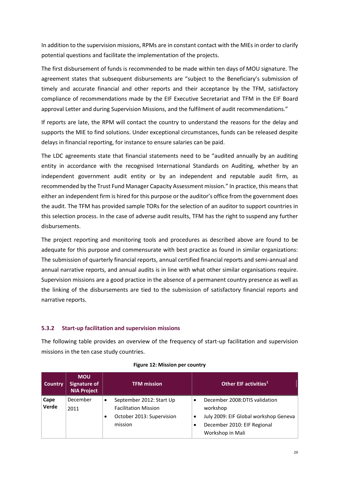In addition to the supervision missions, RPMs are in constant contact with the MIEs in order to clarify potential questions and facilitate the implementation of the projects.

The first disbursement of funds is recommended to be made within ten days of MOU signature. The agreement states that subsequent disbursements are "subject to the Beneficiary's submission of timely and accurate financial and other reports and their acceptance by the TFM, satisfactory compliance of recommendations made by the EIF Executive Secretariat and TFM in the EIF Board approval Letter and during Supervision Missions, and the fulfilment of audit recommendations."

If reports are late, the RPM will contact the country to understand the reasons for the delay and supports the MIE to find solutions. Under exceptional circumstances, funds can be released despite delays in financial reporting, for instance to ensure salaries can be paid.

The LDC agreements state that financial statements need to be "audited annually by an auditing entity in accordance with the recognised International Standards on Auditing, whether by an independent government audit entity or by an independent and reputable audit firm, as recommended by the Trust Fund Manager Capacity Assessment mission." In practice, this means that either an independent firm is hired for this purpose or the auditor's office from the government does the audit. The TFM has provided sample TORs for the selection of an auditor to support countries in this selection process. In the case of adverse audit results, TFM has the right to suspend any further disbursements.

The project reporting and monitoring tools and procedures as described above are found to be adequate for this purpose and commensurate with best practice as found in similar organizations: The submission of quarterly financial reports, annual certified financial reports and semi-annual and annual narrative reports, and annual audits is in line with what other similar organisations require. Supervision missions are a good practice in the absence of a permanent country presence as well as the linking of the disbursements are tied to the submission of satisfactory financial reports and narrative reports.

#### **5.3.2 Start-up facilitation and supervision missions**

The following table provides an overview of the frequency of start-up facilitation and supervision missions in the ten case study countries.

<span id="page-29-0"></span>

| Country | <b>MOU</b><br><b>Signature of</b><br><b>NIA Project</b> | <b>TFM mission</b>          |   | Other EIF activities <sup>1</sup>     |
|---------|---------------------------------------------------------|-----------------------------|---|---------------------------------------|
| Cape    | December                                                | September 2012: Start Up    |   | December 2008:DTIS validation         |
| Verde   | 2011                                                    | <b>Facilitation Mission</b> |   | workshop                              |
|         |                                                         | October 2013: Supervision   | ٠ | July 2009: EIF Global workshop Geneva |
|         |                                                         | mission                     |   | December 2010: EIF Regional           |
|         |                                                         |                             |   | Workshop in Mali                      |

#### **Figure 12: Mission per country**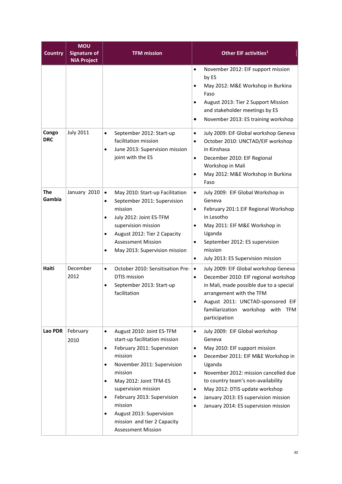| <b>Country</b>      | <b>MOU</b><br><b>Signature of</b><br><b>NIA Project</b> | <b>TFM mission</b>                                                                                                                                                                                                                                                                                                                                                                                   | Other EIF activities <sup>1</sup>                                                                                                                                                                                                                                                                                                                                                               |
|---------------------|---------------------------------------------------------|------------------------------------------------------------------------------------------------------------------------------------------------------------------------------------------------------------------------------------------------------------------------------------------------------------------------------------------------------------------------------------------------------|-------------------------------------------------------------------------------------------------------------------------------------------------------------------------------------------------------------------------------------------------------------------------------------------------------------------------------------------------------------------------------------------------|
|                     |                                                         |                                                                                                                                                                                                                                                                                                                                                                                                      | November 2012: EIF support mission<br>$\bullet$<br>by ES<br>May 2012: M&E Workshop in Burkina<br>$\bullet$<br>Faso<br>August 2013: Tier 2 Support Mission<br>$\bullet$<br>and stakeholder meetings by ES<br>November 2013: ES training workshop<br>$\bullet$                                                                                                                                    |
| Congo<br><b>DRC</b> | <b>July 2011</b>                                        | September 2012: Start-up<br>$\bullet$<br>facilitation mission<br>June 2013: Supervision mission<br>$\bullet$<br>joint with the ES                                                                                                                                                                                                                                                                    | July 2009: EIF Global workshop Geneva<br>$\bullet$<br>October 2010: UNCTAD/EIF workshop<br>$\bullet$<br>in Kinshasa<br>December 2010: EIF Regional<br>$\bullet$<br>Workshop in Mali<br>May 2012: M&E Workshop in Burkina<br>$\bullet$<br>Faso                                                                                                                                                   |
| The<br>Gambia       | January 2010                                            | May 2010: Start-up Facilitation<br>$\bullet$<br>September 2011: Supervision<br>$\bullet$<br>mission<br>July 2012: Joint ES-TFM<br>$\bullet$<br>supervision mission<br>August 2012: Tier 2 Capacity<br>$\bullet$<br><b>Assessment Mission</b><br>May 2013: Supervision mission<br>$\bullet$                                                                                                           | July 2009: EIF Global Workshop in<br>$\bullet$<br>Geneva<br>February 201:1 EIF Regional Workshop<br>$\bullet$<br>in Lesotho<br>May 2011: EIF M&E Workshop in<br>$\bullet$<br>Uganda<br>September 2012: ES supervision<br>$\bullet$<br>mission<br>July 2013: ES Supervision mission<br>$\bullet$                                                                                                 |
| Haiti               | December<br>2012                                        | October 2010: Sensitisation Pre-<br>$\bullet$<br>DTIS mission<br>September 2013: Start-up<br>$\bullet$<br>facilitation                                                                                                                                                                                                                                                                               | July 2009: EIF Global workshop Geneva<br>$\bullet$<br>December 2010: EIF regional workshop<br>$\bullet$<br>in Mali, made possible due to a special<br>arrangement with the TFM<br>August 2011: UNCTAD-sponsored EIF<br>$\bullet$<br>familiarization workshop with TFM<br>participation                                                                                                          |
| Lao PDR             | February<br>2010                                        | August 2010: Joint ES-TFM<br>$\bullet$<br>start-up facilitation mission<br>February 2011: Supervision<br>$\bullet$<br>mission<br>November 2011: Supervision<br>$\bullet$<br>mission<br>May 2012: Joint TFM-ES<br>$\bullet$<br>supervision mission<br>February 2013: Supervision<br>$\bullet$<br>mission<br>August 2013: Supervision<br>٠<br>mission and tier 2 Capacity<br><b>Assessment Mission</b> | July 2009: EIF Global workshop<br>$\bullet$<br>Geneva<br>May 2010: EIF support mission<br>December 2011: EIF M&E Workshop in<br>$\bullet$<br>Uganda<br>November 2012: mission cancelled due<br>$\bullet$<br>to country team's non-availability<br>May 2012: DTIS update workshop<br>٠<br>January 2013: ES supervision mission<br>$\bullet$<br>January 2014: ES supervision mission<br>$\bullet$ |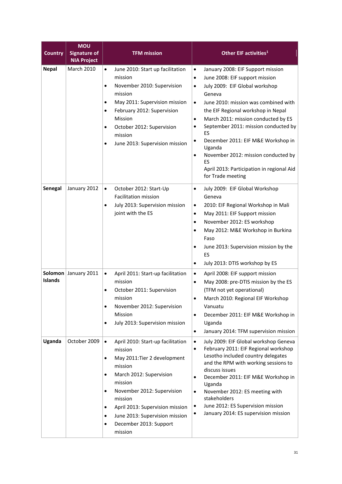| <b>Country</b>            | <b>MOU</b><br><b>Signature of</b><br><b>NIA Project</b> | <b>TFM mission</b>                                                                                                                                                                                                                                                                                                                                                          | Other EIF activities <sup>1</sup>                                                                                                                                                                                                                                                                                                                                                                                                                                                                                                                         |
|---------------------------|---------------------------------------------------------|-----------------------------------------------------------------------------------------------------------------------------------------------------------------------------------------------------------------------------------------------------------------------------------------------------------------------------------------------------------------------------|-----------------------------------------------------------------------------------------------------------------------------------------------------------------------------------------------------------------------------------------------------------------------------------------------------------------------------------------------------------------------------------------------------------------------------------------------------------------------------------------------------------------------------------------------------------|
| <b>Nepal</b>              | <b>March 2010</b>                                       | June 2010: Start up facilitation<br>$\bullet$<br>mission<br>November 2010: Supervision<br>$\bullet$<br>mission<br>May 2011: Supervision mission<br>$\bullet$<br>February 2012: Supervision<br>$\bullet$<br>Mission<br>October 2012: Supervision<br>$\bullet$<br>mission<br>June 2013: Supervision mission<br>$\bullet$                                                      | January 2008: EIF Support mission<br>$\bullet$<br>June 2008: EIF support mission<br>$\bullet$<br>July 2009: EIF Global workshop<br>$\bullet$<br>Geneva<br>June 2010: mission was combined with<br>$\bullet$<br>the EIF Regional workshop in Nepal<br>March 2011: mission conducted by ES<br>$\bullet$<br>September 2011: mission conducted by<br>$\bullet$<br>ES<br>December 2011: EIF M&E Workshop in<br>$\bullet$<br>Uganda<br>November 2012: mission conducted by<br>$\bullet$<br>ES<br>April 2013: Participation in regional Aid<br>for Trade meeting |
| Senegal                   | January 2012                                            | October 2012: Start-Up<br>$\bullet$<br><b>Facilitation mission</b><br>July 2013: Supervision mission<br>$\bullet$<br>joint with the ES                                                                                                                                                                                                                                      | July 2009: EIF Global Workshop<br>$\bullet$<br>Geneva<br>2010: EIF Regional Workshop in Mali<br>$\bullet$<br>May 2011: EIF Support mission<br>$\bullet$<br>November 2012: ES workshop<br>$\bullet$<br>May 2012: M&E Workshop in Burkina<br>$\bullet$<br>Faso<br>June 2013: Supervision mission by the<br>$\bullet$<br>ES<br>July 2013: DTIS workshop by ES<br>$\bullet$                                                                                                                                                                                   |
| Solomon<br><b>Islands</b> | January 2011                                            | April 2011: Start-up facilitation<br>$\bullet$<br>mission<br>October 2011: Supervision<br>$\bullet$<br>mission<br>November 2012: Supervision<br>$\bullet$<br>Mission<br>July 2013: Supervision mission<br>$\bullet$                                                                                                                                                         | April 2008: EIF support mission<br>$\bullet$<br>May 2008: pre-DTIS mission by the ES<br>$\bullet$<br>(TFM not yet operational)<br>March 2010: Regional EIF Workshop<br>Vanuatu<br>December 2011: EIF M&E Workshop in<br>$\bullet$<br>Uganda<br>January 2014: TFM supervision mission<br>$\bullet$                                                                                                                                                                                                                                                         |
| Uganda                    | October 2009                                            | April 2010: Start-up facilitation<br>$\bullet$<br>mission<br>May 2011: Tier 2 development<br>$\bullet$<br>mission<br>March 2012: Supervision<br>$\bullet$<br>mission<br>November 2012: Supervision<br>$\bullet$<br>mission<br>April 2013: Supervision mission<br>$\bullet$<br>June 2013: Supervision mission<br>$\bullet$<br>December 2013: Support<br>$\bullet$<br>mission | July 2009: EIF Global workshop Geneva<br>$\bullet$<br>February 2011: EIF Regional workshop<br>$\bullet$<br>Lesotho included country delegates<br>and the RPM with working sessions to<br>discuss issues<br>December 2011: EIF M&E Workshop in<br>$\bullet$<br>Uganda<br>November 2012: ES meeting with<br>$\bullet$<br>stakeholders<br>June 2012: ES Supervision mission<br>٠<br>January 2014: ES supervision mission                                                                                                                                     |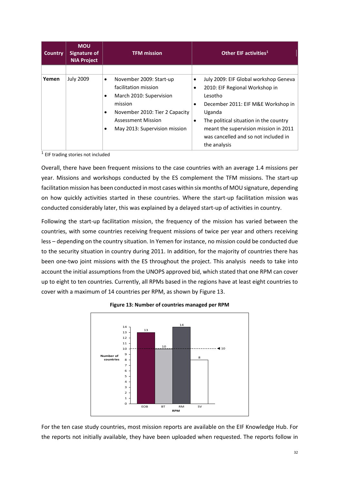| <b>Country</b> | <b>MOU</b><br>Signature of<br><b>NIA Project</b> | <b>TFM mission</b>                                                                                                                                                                                    | Other EIF activities <sup>1</sup> |                                                                                                                                                                                                                                                                               |  |
|----------------|--------------------------------------------------|-------------------------------------------------------------------------------------------------------------------------------------------------------------------------------------------------------|-----------------------------------|-------------------------------------------------------------------------------------------------------------------------------------------------------------------------------------------------------------------------------------------------------------------------------|--|
|                |                                                  |                                                                                                                                                                                                       |                                   |                                                                                                                                                                                                                                                                               |  |
| Yemen          | <b>July 2009</b>                                 | November 2009: Start-up<br>٠<br>facilitation mission<br>March 2010: Supervision<br>$\bullet$<br>mission<br>November 2010: Tier 2 Capacity<br>Assessment Mission<br>May 2013: Supervision mission<br>٠ | $\bullet$                         | July 2009: EIF Global workshop Geneva<br>2010: EIF Regional Workshop in<br>Lesotho<br>December 2011: EIF M&E Workshop in<br>Uganda<br>The political situation in the country<br>meant the supervision mission in 2011<br>was cancelled and so not included in<br>the analysis |  |

<sup>1</sup> EIF trading stories not included

Overall, there have been frequent missions to the case countries with an average 1.4 missions per year. Missions and workshops conducted by the ES complement the TFM missions. The start-up facilitation mission has been conducted in most cases within six months of MOU signature, depending on how quickly activities started in these countries. Where the start-up facilitation mission was conducted considerably later, this was explained by a delayed start-up of activities in country.

Following the start-up facilitation mission, the frequency of the mission has varied between the countries, with some countries receiving frequent missions of twice per year and others receiving less – depending on the country situation. In Yemen for instance, no mission could be conducted due to the security situation in country during 2011. In addition, for the majority of countries there has been one-two joint missions with the ES throughout the project. This analysis needs to take into account the initial assumptions from the UNOPS approved bid, which stated that one RPM can cover up to eight to ten countries. Currently, all RPMs based in the regions have at least eight countries to cover with a maximum of 14 countries per RPM, as shown by Figure 13.

<span id="page-32-0"></span>



For the ten case study countries, most mission reports are available on the EIF Knowledge Hub. For the reports not initially available, they have been uploaded when requested. The reports follow in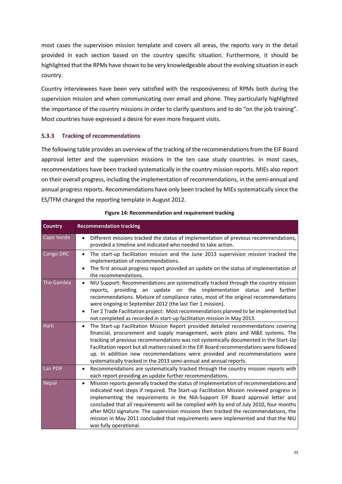most cases the supervision mission template and covers all areas, the reports vary in the detail provided in each section based on the country specific situation. Furthermore, it should be highlighted that the RPMs have shown to be very knowledgeable about the evolving situation in each country.

Country interviewees have been very satisfied with the responsiveness of RPMs both during the supervision mission and when communicating over email and phone. They particularly highlighted the importance of the country missions in order to clarify questions and to do "on the job training". Most countries have expressed a desire for even more frequent visits.

#### **5.3.3 Tracking of recommendations**

The following table provides an overview of the tracking of the recommendations from the EIF Board approval letter and the supervision missions in the ten case study countries. In most cases, recommendations have been tracked systematically in the country mission reports. MIEs also report on their overall progress, including the implementation of recommendations, in the semi-annual and annual progress reports. Recommendations have only been tracked by MIEs systematically since the ES/TFM changed the reporting template in August 2012.

<span id="page-33-0"></span>

| <b>Country</b> | <b>Recommendation tracking</b>                                                                                                                                                                                                                                                                                                                                                                                                                                                                                                                                           |
|----------------|--------------------------------------------------------------------------------------------------------------------------------------------------------------------------------------------------------------------------------------------------------------------------------------------------------------------------------------------------------------------------------------------------------------------------------------------------------------------------------------------------------------------------------------------------------------------------|
| Cape Verde     | Different missions tracked the status of implementation of previous recommendations,<br>provided a timeline and indicated who needed to take action.                                                                                                                                                                                                                                                                                                                                                                                                                     |
| Congo DRC      | The start-up facilitation mission and the June 2013 supervision mission tracked the<br>$\bullet$<br>implementation of recommendations.<br>The first annual progress report provided an update on the status of implementation of<br>the recommendations.                                                                                                                                                                                                                                                                                                                 |
| The Gambia     | NIU Support: Recommendations are systematically tracked through the country mission<br>$\bullet$<br>reports, providing an update on the implementation status and further<br>recommendations. Mixture of compliance rates, most of the original recommendations<br>were ongoing in September 2012 (the last Tier 1 mission).<br>Tier 2 Trade Facilitation project: Most recommendations planned to be implemented but<br>٠<br>not completed as recorded in start-up facilitation mission in May 2013.                                                                    |
| <b>Haiti</b>   | The Start-up Facilitation Mission Report provided detailed recommendations covering<br>$\bullet$<br>financial, procurement and supply management, work plans and M&E systems. The<br>tracking of previous recommendations was not systemically documented in the Start-Up<br>Facilitation report but all matters raised in the EIF Board recommendations were followed<br>up. In addition new recommendations were provided and recommendations were<br>systematically tracked in the 2013 semi-annual and annual reports.                                               |
| Lao PDR        | Recommendations are systematically tracked through the country mission reports with<br>each report providing an update further recommendations.                                                                                                                                                                                                                                                                                                                                                                                                                          |
| <b>Nepal</b>   | Mission reports generally tracked the status of implementation of recommendations and<br>٠<br>indicated next steps if required. The Start-up Facilitation Mission reviewed progress in<br>implementing the requirements in the NIA-Support EIF Board approval letter and<br>concluded that all requirements will be complied with by end of July 2010, four months<br>after MOU signature. The supervision missions then tracked the recommendations, the<br>mission in May 2011 concluded that requirements were implemented and that the NIU<br>was fully operational. |

#### **Figure 14: Recommendation and requirement tracking**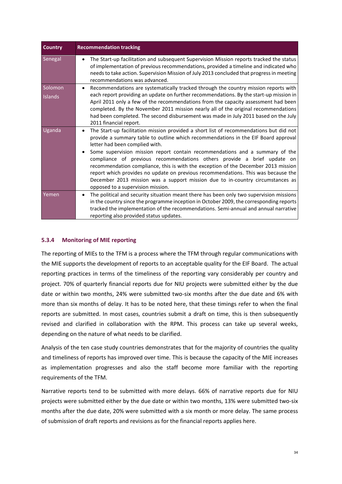| <b>Country</b>            | <b>Recommendation tracking</b>                                                                                                                                                                                                                                                                                                                                                                                                                                                                                                                                                                                                                                                   |
|---------------------------|----------------------------------------------------------------------------------------------------------------------------------------------------------------------------------------------------------------------------------------------------------------------------------------------------------------------------------------------------------------------------------------------------------------------------------------------------------------------------------------------------------------------------------------------------------------------------------------------------------------------------------------------------------------------------------|
| Senegal                   | The Start-up facilitation and subsequent Supervision Mission reports tracked the status<br>of implementation of previous recommendations, provided a timeline and indicated who<br>needs to take action. Supervision Mission of July 2013 concluded that progress in meeting<br>recommendations was advanced.                                                                                                                                                                                                                                                                                                                                                                    |
| Solomon<br><b>Islands</b> | Recommendations are systematically tracked through the country mission reports with<br>٠<br>each report providing an update on further recommendations. By the start-up mission in<br>April 2011 only a few of the recommendations from the capacity assessment had been<br>completed. By the November 2011 mission nearly all of the original recommendations<br>had been completed. The second disbursement was made in July 2011 based on the July<br>2011 financial report.                                                                                                                                                                                                  |
| Uganda                    | The Start-up facilitation mission provided a short list of recommendations but did not<br>٠<br>provide a summary table to outline which recommendations in the EIF Board approval<br>letter had been complied with.<br>Some supervision mission report contain recommendations and a summary of the<br>compliance of previous recommendations others provide a brief update on<br>recommendation compliance, this is with the exception of the December 2013 mission<br>report which provides no update on previous recommendations. This was because the<br>December 2013 mission was a support mission due to in-country circumstances as<br>opposed to a supervision mission. |
| Yemen                     | The political and security situation meant there has been only two supervision missions<br>$\bullet$<br>in the country since the programme inception in October 2009, the corresponding reports<br>tracked the implementation of the recommendations. Semi-annual and annual narrative<br>reporting also provided status updates.                                                                                                                                                                                                                                                                                                                                                |

#### **5.3.4 Monitoring of MIE reporting**

The reporting of MIEs to the TFM is a process where the TFM through regular communications with the MIE supports the development of reports to an acceptable quality for the EIF Board. The actual reporting practices in terms of the timeliness of the reporting vary considerably per country and project. 70% of quarterly financial reports due for NIU projects were submitted either by the due date or within two months, 24% were submitted two-six months after the due date and 6% with more than six months of delay. It has to be noted here, that these timings refer to when the final reports are submitted. In most cases, countries submit a draft on time, this is then subsequently revised and clarified in collaboration with the RPM. This process can take up several weeks, depending on the nature of what needs to be clarified.

Analysis of the ten case study countries demonstrates that for the majority of countries the quality and timeliness of reports has improved over time. This is because the capacity of the MIE increases as implementation progresses and also the staff become more familiar with the reporting requirements of the TFM.

Narrative reports tend to be submitted with more delays. 66% of narrative reports due for NIU projects were submitted either by the due date or within two months, 13% were submitted two-six months after the due date, 20% were submitted with a six month or more delay. The same process of submission of draft reports and revisions as for the financial reports applies here.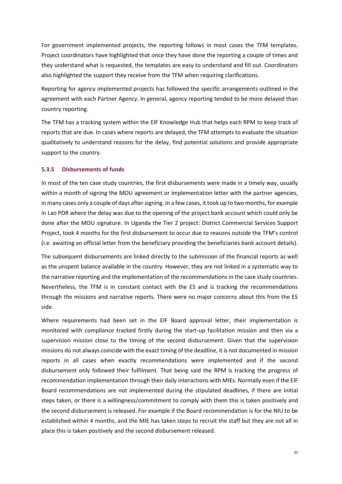For government implemented projects, the reporting follows in most cases the TFM templates. Project coordinators have highlighted that once they have done the reporting a couple of times and they understand what is requested, the templates are easy to understand and fill out. Coordinators also highlighted the support they receive from the TFM when requiring clarifications.

Reporting for agency implemented projects has followed the specific arrangements outlined in the agreement with each Partner Agency. In general, agency reporting tended to be more delayed than country reporting.

The TFM has a tracking system within the EIF Knowledge Hub that helps each RPM to keep track of reports that are due. In cases where reports are delayed, the TFM attempts to evaluate the situation qualitatively to understand reasons for the delay, find potential solutions and provide appropriate support to the country.

#### **5.3.5 Disbursements of funds**

In most of the ten case study countries, the first disbursements were made in a timely way, usually within a month of signing the MOU agreement or implementation letter with the partner agencies, in many cases only a couple of days after signing. In a few cases, it took up to two months, for example in Lao PDR where the delay was due to the opening of the project bank account which could only be done after the MOU signature. In Uganda the Tier 2 project: District Commercial Services Support Project, took 4 months for the first disbursement to occur due to reasons outside the TFM's control (i.e. awaiting an official letter from the beneficiary providing the beneficiaries bank account details).

The subsequent disbursements are linked directly to the submission of the financial reports as well as the unspent balance available in the country. However, they are not linked in a systematic way to the narrative reporting and the implementation of the recommendations in the case study countries. Nevertheless, the TFM is in constant contact with the ES and is tracking the recommendations through the missions and narrative reports. There were no major concerns about this from the ES side.

Where requirements had been set in the EIF Board approval letter, their implementation is monitored with compliance tracked firstly during the start-up facilitation mission and then via a supervision mission close to the timing of the second disbursement. Given that the supervision missions do not always coincide with the exact timing of the deadline, it is not documented in mission reports in all cases when exactly recommendations were implemented and if the second disbursement only followed their fulfilment. That being said the RPM is tracking the progress of recommendation implementation through their daily interactions with MIEs. Normally even if the EIF Board recommendations are not implemented during the stipulated deadlines, if there are initial steps taken, or there is a willingness/commitment to comply with them this is taken positively and the second disbursement is released. For example if the Board recommendation is for the NIU to be established within 4 months, and the MIE has taken steps to recruit the staff but they are not all in place this is taken positively and the second disbursement released.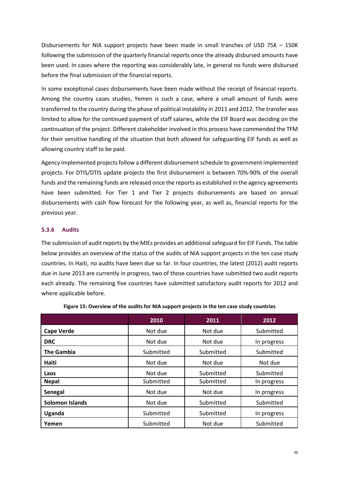Disbursements for NIA support projects have been made in small tranches of USD 75K – 150K following the submission of the quarterly financial reports once the already disbursed amounts have been used. In cases where the reporting was considerably late, in general no funds were disbursed before the final submission of the financial reports.

In some exceptional cases disbursements have been made without the receipt of financial reports. Among the country cases studies, Yemen is such a case, where a small amount of funds were transferred to the country during the phase of political instability in 2011 and 2012. The transfer was limited to allow for the continued payment of staff salaries, while the EIF Board was deciding on the continuation of the project. Different stakeholder involved in this process have commended the TFM for their sensitive handling of the situation that both allowed for safeguarding EIF funds as well as allowing country staff to be paid.

Agency implemented projects follow a different disbursement schedule to government implemented projects. For DTIS/DTIS update projects the first disbursement is between 70%-90% of the overall funds and the remaining funds are released once the reports as established in the agency agreements have been submitted. For Tier 1 and Tier 2 projects disbursements are based on annual disbursements with cash flow forecast for the following year, as well as, financial reports for the previous year.

#### **5.3.6 Audits**

The submission of audit reports by the MIEs provides an additional safeguard for EIF Funds. The table below provides an overview of the status of the audits of NIA support projects in the ten case study countries. In Haiti, no audits have been due so far. In four countries, the latest (2012) audit reports due in June 2013 are currently in progress, two of those countries have submitted two audit reports each already. The remaining five countries have submitted satisfactory audit reports for 2012 and where applicable before.

<span id="page-36-0"></span>

|                        | 2010      | 2011      | 2012        |
|------------------------|-----------|-----------|-------------|
| <b>Cape Verde</b>      | Not due   | Not due   | Submitted   |
| <b>DRC</b>             | Not due   | Not due   | In progress |
| <b>The Gambia</b>      | Submitted | Submitted | Submitted   |
| <b>Haiti</b>           | Not due   | Not due   | Not due     |
| Laos                   | Not due   | Submitted | Submitted   |
| <b>Nepal</b>           | Submitted | Submitted | In progress |
| Senegal                | Not due   | Not due   | In progress |
| <b>Solomon Islands</b> | Not due   | Submitted | Submitted   |
| Uganda                 | Submitted | Submitted | In progress |
| Yemen                  | Submitted | Not due   | Submitted   |

| Figure 15: Overview of the audits for NIA support projects in the ten case study countries |  |  |
|--------------------------------------------------------------------------------------------|--|--|
|--------------------------------------------------------------------------------------------|--|--|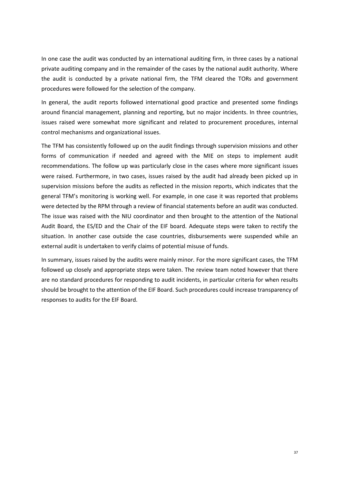In one case the audit was conducted by an international auditing firm, in three cases by a national private auditing company and in the remainder of the cases by the national audit authority. Where the audit is conducted by a private national firm, the TFM cleared the TORs and government procedures were followed for the selection of the company.

In general, the audit reports followed international good practice and presented some findings around financial management, planning and reporting, but no major incidents. In three countries, issues raised were somewhat more significant and related to procurement procedures, internal control mechanisms and organizational issues.

The TFM has consistently followed up on the audit findings through supervision missions and other forms of communication if needed and agreed with the MIE on steps to implement audit recommendations. The follow up was particularly close in the cases where more significant issues were raised. Furthermore, in two cases, issues raised by the audit had already been picked up in supervision missions before the audits as reflected in the mission reports, which indicates that the general TFM's monitoring is working well. For example, in one case it was reported that problems were detected by the RPM through a review of financial statements before an audit was conducted. The issue was raised with the NIU coordinator and then brought to the attention of the National Audit Board, the ES/ED and the Chair of the EIF board. Adequate steps were taken to rectify the situation. In another case outside the case countries, disbursements were suspended while an external audit is undertaken to verify claims of potential misuse of funds.

In summary, issues raised by the audits were mainly minor. For the more significant cases, the TFM followed up closely and appropriate steps were taken. The review team noted however that there are no standard procedures for responding to audit incidents, in particular criteria for when results should be brought to the attention of the EIF Board. Such procedures could increase transparency of responses to audits for the EIF Board.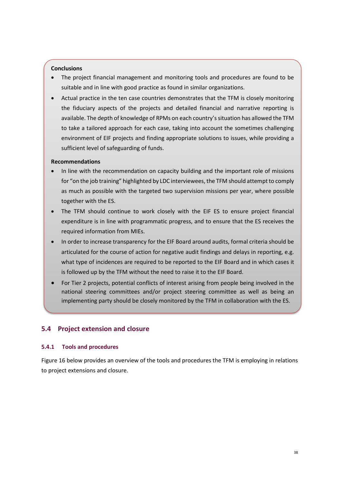#### **Conclusions**

- The project financial management and monitoring tools and procedures are found to be suitable and in line with good practice as found in similar organizations.
- Actual practice in the ten case countries demonstrates that the TFM is closely monitoring the fiduciary aspects of the projects and detailed financial and narrative reporting is available. The depth of knowledge of RPMs on each country's situation has allowed the TFM to take a tailored approach for each case, taking into account the sometimes challenging environment of EIF projects and finding appropriate solutions to issues, while providing a sufficient level of safeguarding of funds.

#### **Recommendations**

- In line with the recommendation on capacity building and the important role of missions for "on the job training" highlighted by LDC interviewees, the TFM should attempt to comply as much as possible with the targeted two supervision missions per year, where possible together with the ES.
- The TFM should continue to work closely with the EIF ES to ensure project financial expenditure is in line with programmatic progress, and to ensure that the ES receives the required information from MIEs.
- In order to increase transparency for the EIF Board around audits, formal criteria should be articulated for the course of action for negative audit findings and delays in reporting, e.g. what type of incidences are required to be reported to the EIF Board and in which cases it is followed up by the TFM without the need to raise it to the EIF Board.
- For Tier 2 projects, potential conflicts of interest arising from people being involved in the national steering committees and/or project steering committee as well as being an implementing party should be closely monitored by the TFM in collaboration with the ES.

#### <span id="page-38-0"></span>**5.4 Project extension and closure**

#### **5.4.1 Tools and procedures**

Figure 16 below provides an overview of the tools and procedures the TFM is employing in relations to project extensions and closure.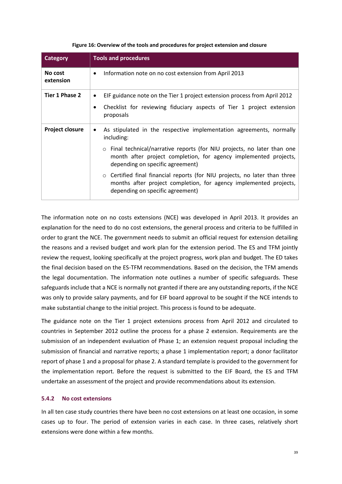<span id="page-39-0"></span>

| <b>Category</b>        | <b>Tools and procedures</b>                                                                                                                                                                                                                                                                                                                                                                                                                                                 |  |  |
|------------------------|-----------------------------------------------------------------------------------------------------------------------------------------------------------------------------------------------------------------------------------------------------------------------------------------------------------------------------------------------------------------------------------------------------------------------------------------------------------------------------|--|--|
| No cost<br>extension   | Information note on no cost extension from April 2013<br>$\bullet$                                                                                                                                                                                                                                                                                                                                                                                                          |  |  |
| Tier 1 Phase 2         | EIF guidance note on the Tier 1 project extension process from April 2012<br>٠<br>Checklist for reviewing fiduciary aspects of Tier 1 project extension<br>٠<br>proposals                                                                                                                                                                                                                                                                                                   |  |  |
| <b>Project closure</b> | As stipulated in the respective implementation agreements, normally<br>including:<br>Final technical/narrative reports (for NIU projects, no later than one<br>$\circ$<br>month after project completion, for agency implemented projects,<br>depending on specific agreement)<br>$\circ$ Certified final financial reports (for NIU projects, no later than three<br>months after project completion, for agency implemented projects,<br>depending on specific agreement) |  |  |

#### **Figure 16: Overview of the tools and procedures for project extension and closure**

The information note on no costs extensions (NCE) was developed in April 2013. It provides an explanation for the need to do no cost extensions, the general process and criteria to be fulfilled in order to grant the NCE. The government needs to submit an official request for extension detailing the reasons and a revised budget and work plan for the extension period. The ES and TFM jointly review the request, looking specifically at the project progress, work plan and budget. The ED takes the final decision based on the ES-TFM recommendations. Based on the decision, the TFM amends the legal documentation. The information note outlines a number of specific safeguards. These safeguards include that a NCE is normally not granted if there are any outstanding reports, if the NCE was only to provide salary payments, and for EIF board approval to be sought if the NCE intends to make substantial change to the initial project. This process is found to be adequate.

The guidance note on the Tier 1 project extensions process from April 2012 and circulated to countries in September 2012 outline the process for a phase 2 extension. Requirements are the submission of an independent evaluation of Phase 1; an extension request proposal including the submission of financial and narrative reports; a phase 1 implementation report; a donor facilitator report of phase 1 and a proposal for phase 2. A standard template is provided to the government for the implementation report. Before the request is submitted to the EIF Board, the ES and TFM undertake an assessment of the project and provide recommendations about its extension.

#### **5.4.2 No cost extensions**

In all ten case study countries there have been no cost extensions on at least one occasion, in some cases up to four. The period of extension varies in each case. In three cases, relatively short extensions were done within a few months.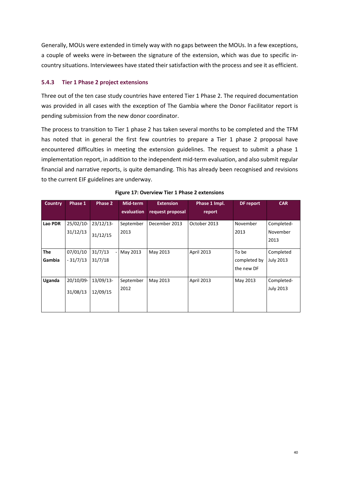Generally, MOUs were extended in timely way with no gaps between the MOUs. In a few exceptions, a couple of weeks were in-between the signature of the extension, which was due to specific incountry situations. Interviewees have stated their satisfaction with the process and see it as efficient.

#### **5.4.3 Tier 1 Phase 2 project extensions**

Three out of the ten case study countries have entered Tier 1 Phase 2. The required documentation was provided in all cases with the exception of The Gambia where the Donor Facilitator report is pending submission from the new donor coordinator.

The process to transition to Tier 1 phase 2 has taken several months to be completed and the TFM has noted that in general the first few countries to prepare a Tier 1 phase 2 proposal have encountered difficulties in meeting the extension guidelines. The request to submit a phase 1 implementation report, in addition to the independent mid-term evaluation, and also submit regular financial and narrative reports, is quite demanding. This has already been recognised and revisions to the current EIF guidelines are underway.

<span id="page-40-0"></span>

| <b>Country</b> | Phase 1    | Phase 2     | Mid-term   | <b>Extension</b> | Phase 1 Impl. | DF report                  | <b>CAR</b>       |
|----------------|------------|-------------|------------|------------------|---------------|----------------------------|------------------|
|                |            |             | evaluation | request proposal | report        |                            |                  |
| Lao PDR        | 25/02/10-  | $23/12/13-$ | September  | December 2013    | October 2013  | November                   | Completed-       |
|                | 31/12/13   | 31/12/15    | 2013       |                  |               | 2013                       | November         |
|                |            |             |            |                  |               |                            | 2013             |
| <b>The</b>     | 07/01/10   | 31/7/13     | May 2013   | May 2013         | April 2013    | To be                      | Completed        |
| Gambia         | $-31/7/13$ | 31/7/18     |            |                  |               | completed by<br>the new DF | <b>July 2013</b> |
| Uganda         | 20/10/09-  | 13/09/13-   | September  | May 2013         | April 2013    | May 2013                   | Completed-       |
|                | 31/08/13   | 12/09/15    | 2012       |                  |               |                            | <b>July 2013</b> |
|                |            |             |            |                  |               |                            |                  |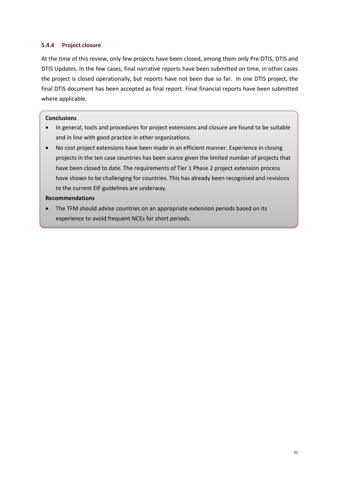#### **5.4.4 Project closure**

At the time of this review, only few projects have been closed, among them only Pre-DTIS, DTIS and DTIS Updates. In the few cases, final narrative reports have been submitted on time, in other cases the project is closed operationally, but reports have not been due so far. In one DTIS project, the final DTIS document has been accepted as final report. Final financial reports have been submitted where applicable.

#### **Conclusions**

- In general, tools and procedures for project extensions and closure are found to be suitable and in line with good practice in other organizations.
- No cost project extensions have been made in an efficient manner. Experience in closing projects in the ten case countries has been scarce given the limited number of projects that have been closed to date. The requirements of Tier 1 Phase 2 project extension process have shown to be challenging for countries. This has already been recognised and revisions to the current EIF guidelines are underway.

#### **Recommendations**

 The TFM should advise countries on an appropriate extension periods based on its experience to avoid frequent NCEs for short periods.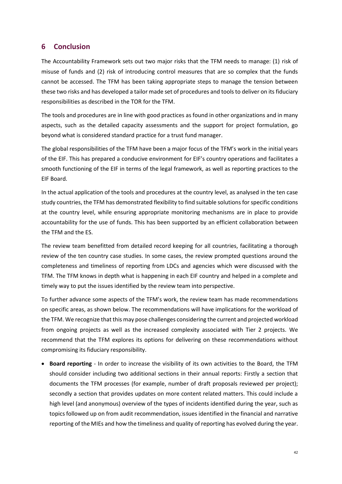## <span id="page-42-0"></span>**6 Conclusion**

The Accountability Framework sets out two major risks that the TFM needs to manage: (1) risk of misuse of funds and (2) risk of introducing control measures that are so complex that the funds cannot be accessed. The TFM has been taking appropriate steps to manage the tension between these two risks and has developed a tailor made set of procedures and tools to deliver on its fiduciary responsibilities as described in the TOR for the TFM.

The tools and procedures are in line with good practices as found in other organizations and in many aspects, such as the detailed capacity assessments and the support for project formulation, go beyond what is considered standard practice for a trust fund manager.

The global responsibilities of the TFM have been a major focus of the TFM's work in the initial years of the EIF. This has prepared a conducive environment for EIF's country operations and facilitates a smooth functioning of the EIF in terms of the legal framework, as well as reporting practices to the EIF Board.

In the actual application of the tools and procedures at the country level, as analysed in the ten case study countries, the TFM has demonstrated flexibility to find suitable solutions for specific conditions at the country level, while ensuring appropriate monitoring mechanisms are in place to provide accountability for the use of funds. This has been supported by an efficient collaboration between the TFM and the ES.

The review team benefitted from detailed record keeping for all countries, facilitating a thorough review of the ten country case studies. In some cases, the review prompted questions around the completeness and timeliness of reporting from LDCs and agencies which were discussed with the TFM. The TFM knows in depth what is happening in each EIF country and helped in a complete and timely way to put the issues identified by the review team into perspective.

To further advance some aspects of the TFM's work, the review team has made recommendations on specific areas, as shown below. The recommendations will have implications for the workload of the TFM. We recognize that this may pose challenges considering the current and projected workload from ongoing projects as well as the increased complexity associated with Tier 2 projects. We recommend that the TFM explores its options for delivering on these recommendations without compromising its fiduciary responsibility.

 **Board reporting** - In order to increase the visibility of its own activities to the Board, the TFM should consider including two additional sections in their annual reports: Firstly a section that documents the TFM processes (for example, number of draft proposals reviewed per project); secondly a section that provides updates on more content related matters. This could include a high level (and anonymous) overview of the types of incidents identified during the year, such as topics followed up on from audit recommendation, issues identified in the financial and narrative reporting of the MIEs and how the timeliness and quality of reporting has evolved during the year.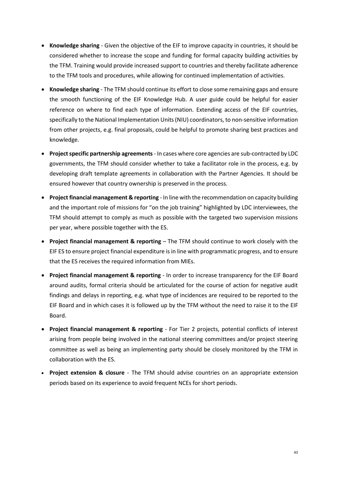- **Knowledge sharing** Given the objective of the EIF to improve capacity in countries, it should be considered whether to increase the scope and funding for formal capacity building activities by the TFM. Training would provide increased support to countries and thereby facilitate adherence to the TFM tools and procedures, while allowing for continued implementation of activities.
- **Knowledge sharing** The TFM should continue its effort to close some remaining gaps and ensure the smooth functioning of the EIF Knowledge Hub. A user guide could be helpful for easier reference on where to find each type of information. Extending access of the EIF countries, specifically to the National Implementation Units (NIU) coordinators, to non-sensitive information from other projects, e.g. final proposals, could be helpful to promote sharing best practices and knowledge.
- **Project specific partnership agreements** In cases where core agencies are sub-contracted by LDC governments, the TFM should consider whether to take a facilitator role in the process, e.g. by developing draft template agreements in collaboration with the Partner Agencies. It should be ensured however that country ownership is preserved in the process.
- **Project financial management & reporting** In line with the recommendation on capacity building and the important role of missions for "on the job training" highlighted by LDC interviewees, the TFM should attempt to comply as much as possible with the targeted two supervision missions per year, where possible together with the ES.
- **Project financial management & reporting** The TFM should continue to work closely with the EIF ES to ensure project financial expenditure is in line with programmatic progress, and to ensure that the ES receives the required information from MIEs.
- **Project financial management & reporting** In order to increase transparency for the EIF Board around audits, formal criteria should be articulated for the course of action for negative audit findings and delays in reporting, e.g. what type of incidences are required to be reported to the EIF Board and in which cases it is followed up by the TFM without the need to raise it to the EIF Board.
- **Project financial management & reporting** For Tier 2 projects, potential conflicts of interest arising from people being involved in the national steering committees and/or project steering committee as well as being an implementing party should be closely monitored by the TFM in collaboration with the ES.
- **Project extension & closure**  The TFM should advise countries on an appropriate extension periods based on its experience to avoid frequent NCEs for short periods.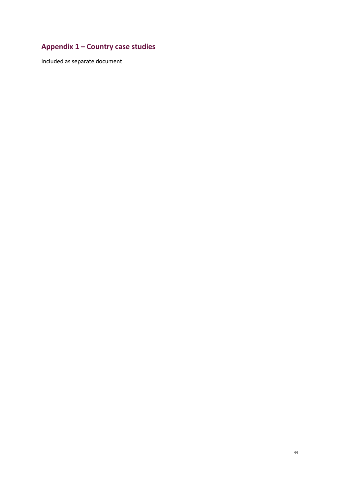# <span id="page-44-0"></span>**Appendix 1 – Country case studies**

Included as separate document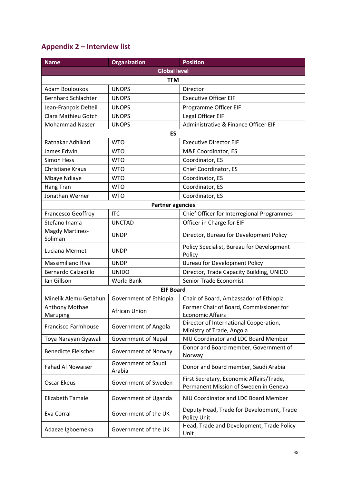## <span id="page-45-0"></span>**Appendix 2 – Interview list**

| <b>Name</b>                | <b>Organization</b>           | <b>Position</b>                                                                   |  |  |  |  |
|----------------------------|-------------------------------|-----------------------------------------------------------------------------------|--|--|--|--|
| <b>Global level</b>        |                               |                                                                                   |  |  |  |  |
|                            | <b>TFM</b>                    |                                                                                   |  |  |  |  |
| <b>Adam Bouloukos</b>      | <b>UNOPS</b>                  | Director                                                                          |  |  |  |  |
| <b>Bernhard Schlachter</b> | <b>UNOPS</b>                  | <b>Executive Officer EIF</b>                                                      |  |  |  |  |
| Jean-François Delteil      | <b>UNOPS</b>                  | Programme Officer EIF                                                             |  |  |  |  |
| Clara Mathieu Gotch        | <b>UNOPS</b>                  | Legal Officer EIF                                                                 |  |  |  |  |
| <b>Mohammad Nasser</b>     | <b>UNOPS</b>                  | Administrative & Finance Officer EIF                                              |  |  |  |  |
|                            | ES                            |                                                                                   |  |  |  |  |
| Ratnakar Adhikari          | <b>WTO</b>                    | <b>Executive Director EIF</b>                                                     |  |  |  |  |
| James Edwin                | <b>WTO</b>                    | M&E Coordinator, ES                                                               |  |  |  |  |
| <b>Simon Hess</b>          | <b>WTO</b>                    | Coordinator, ES                                                                   |  |  |  |  |
| <b>Christiane Kraus</b>    | <b>WTO</b>                    | Chief Coordinator, ES                                                             |  |  |  |  |
| Mbaye Ndiaye               | <b>WTO</b>                    | Coordinator, ES                                                                   |  |  |  |  |
| Hang Tran                  | <b>WTO</b>                    | Coordinator, ES                                                                   |  |  |  |  |
| Jonathan Werner            | <b>WTO</b>                    | Coordinator, ES                                                                   |  |  |  |  |
|                            | <b>Partner agencies</b>       |                                                                                   |  |  |  |  |
| Francesco Geoffroy         | <b>ITC</b>                    | Chief Officer for Interregional Programmes                                        |  |  |  |  |
| Stefano Inama              | <b>UNCTAD</b>                 | Officer in Charge for EIF                                                         |  |  |  |  |
| Magdy Martinez-<br>Soliman | <b>UNDP</b>                   | Director, Bureau for Development Policy                                           |  |  |  |  |
| Luciana Mermet             | <b>UNDP</b>                   | Policy Specialist, Bureau for Development<br>Policy                               |  |  |  |  |
| Massimiliano Riva          | <b>UNDP</b>                   | <b>Bureau for Development Policy</b>                                              |  |  |  |  |
| <b>Bernardo Calzadillo</b> | <b>UNIDO</b>                  | Director, Trade Capacity Building, UNIDO                                          |  |  |  |  |
| Ian Gillson                | World Bank                    | Senior Trade Economist                                                            |  |  |  |  |
|                            | <b>EIF Board</b>              |                                                                                   |  |  |  |  |
| Minelik Alemu Getahun      | Government of Ethiopia        | Chair of Board, Ambassador of Ethiopia                                            |  |  |  |  |
| Anthony Mothae<br>Maruping | African Union                 | Former Chair of Board, Commissioner for<br><b>Economic Affairs</b>                |  |  |  |  |
| <b>Francisco Farmhouse</b> | Government of Angola          | Director of International Cooperation,<br>Ministry of Trade, Angola               |  |  |  |  |
| Toya Narayan Gyawali       | Government of Nepal           | NIU Coordinator and LDC Board Member                                              |  |  |  |  |
| <b>Benedicte Fleischer</b> | Government of Norway          | Donor and Board member, Government of<br>Norway                                   |  |  |  |  |
| <b>Fahad Al Nowaiser</b>   | Government of Saudi<br>Arabia | Donor and Board member, Saudi Arabia                                              |  |  |  |  |
| <b>Oscar Ekeus</b>         | Government of Sweden          | First Secretary, Economic Affairs/Trade,<br>Permanent Mission of Sweden in Geneva |  |  |  |  |
| <b>Elizabeth Tamale</b>    | Government of Uganda          | NIU Coordinator and LDC Board Member                                              |  |  |  |  |
| Eva Corral                 | Government of the UK          | Deputy Head, Trade for Development, Trade<br>Policy Unit                          |  |  |  |  |
| Adaeze Igboemeka           | Government of the UK          | Head, Trade and Development, Trade Policy<br>Unit                                 |  |  |  |  |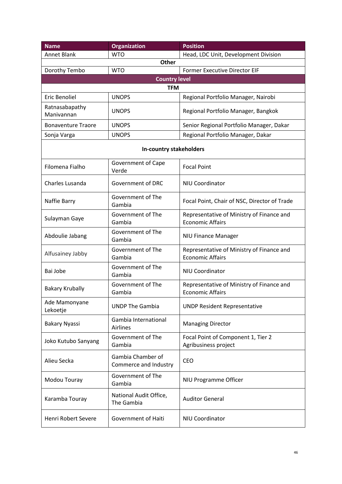| <b>Name</b>                  | <b>Organization</b>                        | <b>Position</b>                                                      |  |  |  |
|------------------------------|--------------------------------------------|----------------------------------------------------------------------|--|--|--|
| <b>Annet Blank</b>           | <b>WTO</b>                                 | Head, LDC Unit, Development Division                                 |  |  |  |
| <b>Other</b>                 |                                            |                                                                      |  |  |  |
| Dorothy Tembo                | <b>WTO</b>                                 | <b>Former Executive Director EIF</b>                                 |  |  |  |
|                              | <b>Country level</b>                       |                                                                      |  |  |  |
|                              | <b>TFM</b>                                 |                                                                      |  |  |  |
| Eric Benoliel                | <b>UNOPS</b>                               | Regional Portfolio Manager, Nairobi                                  |  |  |  |
| Ratnasabapathy<br>Manivannan | <b>UNOPS</b>                               | Regional Portfolio Manager, Bangkok                                  |  |  |  |
| <b>Bonaventure Traore</b>    | <b>UNOPS</b>                               | Senior Regional Portfolio Manager, Dakar                             |  |  |  |
| Sonja Varga                  | <b>UNOPS</b>                               | Regional Portfolio Manager, Dakar                                    |  |  |  |
|                              | In-country stakeholders                    |                                                                      |  |  |  |
| Filomena Fialho              | <b>Government of Cape</b><br>Verde         | <b>Focal Point</b>                                                   |  |  |  |
| Charles Lusanda              | Government of DRC                          | <b>NIU Coordinator</b>                                               |  |  |  |
| Naffie Barry                 | Government of The<br>Gambia                | Focal Point, Chair of NSC, Director of Trade                         |  |  |  |
| Sulayman Gaye                | Government of The<br>Gambia                | Representative of Ministry of Finance and<br><b>Economic Affairs</b> |  |  |  |
| Abdoulie Jabang              | Government of The<br>Gambia                | <b>NIU Finance Manager</b>                                           |  |  |  |
| Alfusainey Jabby             | Government of The<br>Gambia                | Representative of Ministry of Finance and<br><b>Economic Affairs</b> |  |  |  |
| Bai Jobe                     | Government of The<br>Gambia                | <b>NIU Coordinator</b>                                               |  |  |  |
| <b>Bakary Krubally</b>       | Government of The<br>Gambia                | Representative of Ministry of Finance and<br><b>Economic Affairs</b> |  |  |  |
| Ade Mamonyane<br>Lekoetje    | <b>UNDP The Gambia</b>                     | <b>UNDP Resident Representative</b>                                  |  |  |  |
| <b>Bakary Nyassi</b>         | Gambia International<br>Airlines           | <b>Managing Director</b>                                             |  |  |  |
| Joko Kutubo Sanyang          | Government of The<br>Gambia                | Focal Point of Component 1, Tier 2<br>Agribusiness project           |  |  |  |
| Alieu Secka                  | Gambia Chamber of<br>Commerce and Industry | <b>CEO</b>                                                           |  |  |  |
| Modou Touray                 | Government of The<br>Gambia                | NIU Programme Officer                                                |  |  |  |
| Karamba Touray               | National Audit Office,<br>The Gambia       | <b>Auditor General</b>                                               |  |  |  |
| Henri Robert Severe          | Government of Haiti                        | <b>NIU Coordinator</b>                                               |  |  |  |